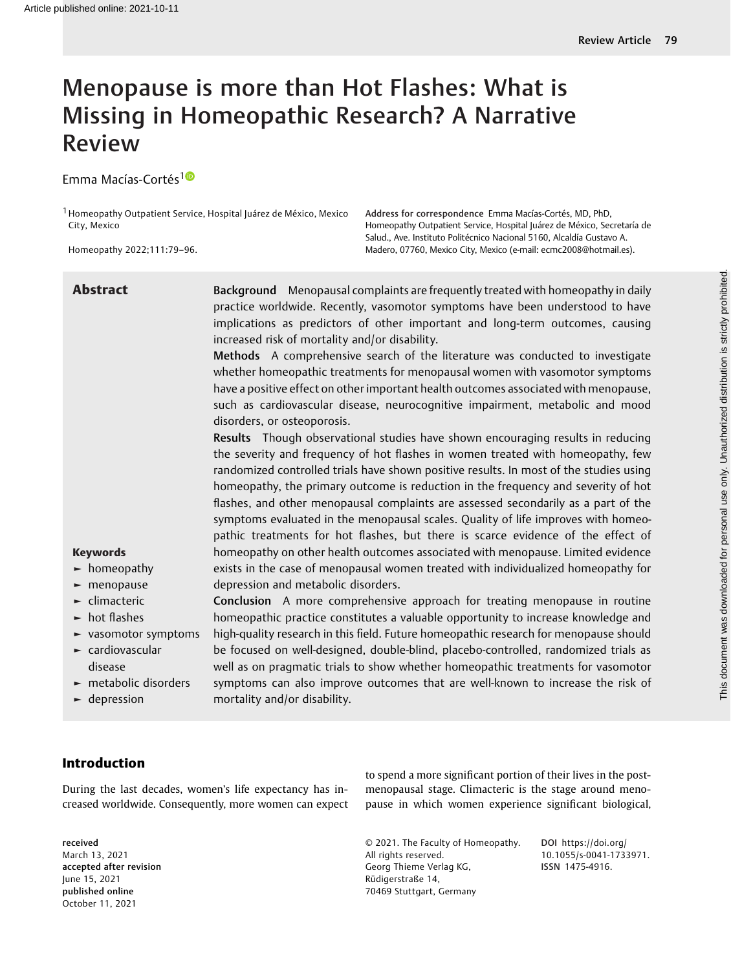# Menopause is more than Hot Flashes: What is Missing in Homeopathic Research? A Narrative Review

Emma Macías-Cortés<sup>10</sup>

1Homeopathy Outpatient Service, Hospital Juárez de México, Mexico City, Mexico

Homeopathy 2022;111:79–96.

Address for correspondence Emma Macías-Cortés, MD, PhD, Homeopathy Outpatient Service, Hospital Juárez de México, Secretaría de Salud., Ave. Instituto Politécnico Nacional 5160, Alcaldía Gustavo A. Madero, 07760, Mexico City, Mexico (e-mail: [ecmc2008@hotmail.es\)](mailto:ecmc2008@hotmail.es).

| <b>Abstract</b>                                                               | Background Menopausal complaints are frequently treated with homeopathy in daily<br>practice worldwide. Recently, vasomotor symptoms have been understood to have<br>implications as predictors of other important and long-term outcomes, causing<br>increased risk of mortality and/or disability.<br>Methods A comprehensive search of the literature was conducted to investigate<br>whether homeopathic treatments for menopausal women with vasomotor symptoms<br>have a positive effect on other important health outcomes associated with menopause,<br>such as cardiovascular disease, neurocognitive impairment, metabolic and mood<br>disorders, or osteoporosis.<br>Results Though observational studies have shown encouraging results in reducing<br>the severity and frequency of hot flashes in women treated with homeopathy, few<br>randomized controlled trials have shown positive results. In most of the studies using<br>homeopathy, the primary outcome is reduction in the frequency and severity of hot |
|-------------------------------------------------------------------------------|-----------------------------------------------------------------------------------------------------------------------------------------------------------------------------------------------------------------------------------------------------------------------------------------------------------------------------------------------------------------------------------------------------------------------------------------------------------------------------------------------------------------------------------------------------------------------------------------------------------------------------------------------------------------------------------------------------------------------------------------------------------------------------------------------------------------------------------------------------------------------------------------------------------------------------------------------------------------------------------------------------------------------------------|
|                                                                               | flashes, and other menopausal complaints are assessed secondarily as a part of the<br>symptoms evaluated in the menopausal scales. Quality of life improves with homeo-<br>pathic treatments for hot flashes, but there is scarce evidence of the effect of                                                                                                                                                                                                                                                                                                                                                                                                                                                                                                                                                                                                                                                                                                                                                                       |
| <b>Keywords</b>                                                               | homeopathy on other health outcomes associated with menopause. Limited evidence                                                                                                                                                                                                                                                                                                                                                                                                                                                                                                                                                                                                                                                                                                                                                                                                                                                                                                                                                   |
| $\blacktriangleright$ homeopathy                                              | exists in the case of menopausal women treated with individualized homeopathy for                                                                                                                                                                                                                                                                                                                                                                                                                                                                                                                                                                                                                                                                                                                                                                                                                                                                                                                                                 |
| $\blacktriangleright$ menopause<br>$\blacktriangleright$ climacteric          | depression and metabolic disorders.<br>Conclusion A more comprehensive approach for treating menopause in routine                                                                                                                                                                                                                                                                                                                                                                                                                                                                                                                                                                                                                                                                                                                                                                                                                                                                                                                 |
| $\blacktriangleright$ hot flashes                                             | homeopathic practice constitutes a valuable opportunity to increase knowledge and                                                                                                                                                                                                                                                                                                                                                                                                                                                                                                                                                                                                                                                                                                                                                                                                                                                                                                                                                 |
| vasomotor symptoms                                                            | high-quality research in this field. Future homeopathic research for menopause should                                                                                                                                                                                                                                                                                                                                                                                                                                                                                                                                                                                                                                                                                                                                                                                                                                                                                                                                             |
| $\blacktriangleright$ cardiovascular                                          | be focused on well-designed, double-blind, placebo-controlled, randomized trials as                                                                                                                                                                                                                                                                                                                                                                                                                                                                                                                                                                                                                                                                                                                                                                                                                                                                                                                                               |
| disease                                                                       | well as on pragmatic trials to show whether homeopathic treatments for vasomotor                                                                                                                                                                                                                                                                                                                                                                                                                                                                                                                                                                                                                                                                                                                                                                                                                                                                                                                                                  |
| $\blacktriangleright$ metabolic disorders<br>$\blacktriangleright$ depression | symptoms can also improve outcomes that are well-known to increase the risk of<br>mortality and/or disability.                                                                                                                                                                                                                                                                                                                                                                                                                                                                                                                                                                                                                                                                                                                                                                                                                                                                                                                    |

## Introduction

During the last decades, women's life expectancy has increased worldwide. Consequently, more women can expect

received March 13, 2021 accepted after revision June 15, 2021 published online October 11, 2021

to spend a more significant portion of their lives in the postmenopausal stage. Climacteric is the stage around menopause in which women experience significant biological,

© 2021. The Faculty of Homeopathy. All rights reserved. Georg Thieme Verlag KG, Rüdigerstraße 14, 70469 Stuttgart, Germany

DOI [https://doi.org/](https://doi.org/10.1055/s-0041-1733971) [10.1055/s-0041-1733971](https://doi.org/10.1055/s-0041-1733971). ISSN 1475-4916.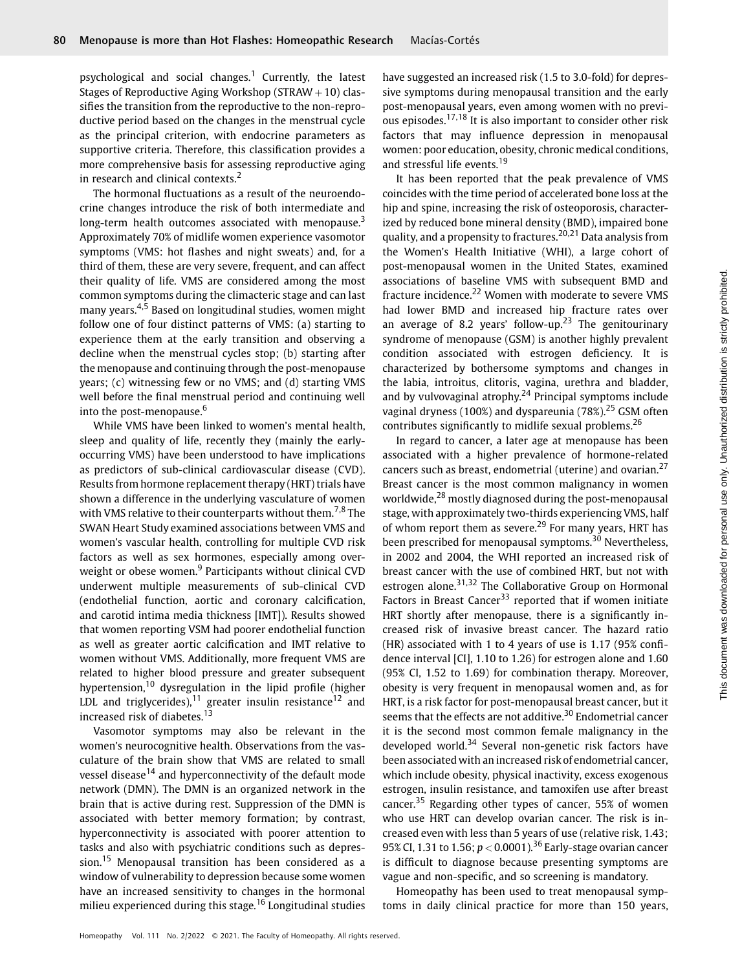psychological and social changes.<sup>1</sup> Currently, the latest Stages of Reproductive Aging Workshop ( $STRAW + 10$ ) classifies the transition from the reproductive to the non-reproductive period based on the changes in the menstrual cycle as the principal criterion, with endocrine parameters as supportive criteria. Therefore, this classification provides a more comprehensive basis for assessing reproductive aging in research and clinical contexts.<sup>2</sup>

The hormonal fluctuations as a result of the neuroendocrine changes introduce the risk of both intermediate and long-term health outcomes associated with menopause.<sup>3</sup> Approximately 70% of midlife women experience vasomotor symptoms (VMS: hot flashes and night sweats) and, for a third of them, these are very severe, frequent, and can affect their quality of life. VMS are considered among the most common symptoms during the climacteric stage and can last many years.4,5 Based on longitudinal studies, women might follow one of four distinct patterns of VMS: (a) starting to experience them at the early transition and observing a decline when the menstrual cycles stop; (b) starting after the menopause and continuing through the post-menopause years; (c) witnessing few or no VMS; and (d) starting VMS well before the final menstrual period and continuing well into the post-menopause.<sup>6</sup>

While VMS have been linked to women's mental health, sleep and quality of life, recently they (mainly the earlyoccurring VMS) have been understood to have implications as predictors of sub-clinical cardiovascular disease (CVD). Results from hormone replacement therapy (HRT) trials have shown a difference in the underlying vasculature of women with VMS relative to their counterparts without them.<sup>7,8</sup> The SWAN Heart Study examined associations between VMS and women's vascular health, controlling for multiple CVD risk factors as well as sex hormones, especially among overweight or obese women.<sup>9</sup> Participants without clinical CVD underwent multiple measurements of sub-clinical CVD (endothelial function, aortic and coronary calcification, and carotid intima media thickness [IMT]). Results showed that women reporting VSM had poorer endothelial function as well as greater aortic calcification and IMT relative to women without VMS. Additionally, more frequent VMS are related to higher blood pressure and greater subsequent hypertension,<sup>10</sup> dysregulation in the lipid profile (higher LDL and triglycerides),<sup>11</sup> greater insulin resistance<sup>12</sup> and increased risk of diabetes.<sup>13</sup>

Vasomotor symptoms may also be relevant in the women's neurocognitive health. Observations from the vasculature of the brain show that VMS are related to small vessel disease<sup>14</sup> and hyperconnectivity of the default mode network (DMN). The DMN is an organized network in the brain that is active during rest. Suppression of the DMN is associated with better memory formation; by contrast, hyperconnectivity is associated with poorer attention to tasks and also with psychiatric conditions such as depression.<sup>15</sup> Menopausal transition has been considered as a window of vulnerability to depression because some women have an increased sensitivity to changes in the hormonal milieu experienced during this stage.<sup>16</sup> Longitudinal studies have suggested an increased risk (1.5 to 3.0-fold) for depressive symptoms during menopausal transition and the early post-menopausal years, even among women with no previous episodes.<sup>17,18</sup> It is also important to consider other risk factors that may influence depression in menopausal women: poor education, obesity, chronic medical conditions, and stressful life events.<sup>19</sup>

It has been reported that the peak prevalence of VMS coincides with the time period of accelerated bone loss at the hip and spine, increasing the risk of osteoporosis, characterized by reduced bone mineral density (BMD), impaired bone quality, and a propensity to fractures.<sup>20,21</sup> Data analysis from the Women's Health Initiative (WHI), a large cohort of post-menopausal women in the United States, examined associations of baseline VMS with subsequent BMD and fracture incidence.<sup>22</sup> Women with moderate to severe VMS had lower BMD and increased hip fracture rates over an average of 8.2 years' follow-up.<sup>23</sup> The genitourinary syndrome of menopause (GSM) is another highly prevalent condition associated with estrogen deficiency. It is characterized by bothersome symptoms and changes in the labia, introitus, clitoris, vagina, urethra and bladder, and by vulvovaginal atrophy. $24$  Principal symptoms include vaginal dryness (100%) and dyspareunia (78%).<sup>25</sup> GSM often contributes significantly to midlife sexual problems.<sup>26</sup>

In regard to cancer, a later age at menopause has been associated with a higher prevalence of hormone-related cancers such as breast, endometrial (uterine) and ovarian.<sup>27</sup> Breast cancer is the most common malignancy in women worldwide,<sup>28</sup> mostly diagnosed during the post-menopausal stage, with approximately two-thirds experiencing VMS, half of whom report them as severe.<sup>29</sup> For many years, HRT has been prescribed for menopausal symptoms.<sup>30</sup> Nevertheless, in 2002 and 2004, the WHI reported an increased risk of breast cancer with the use of combined HRT, but not with estrogen alone.<sup>31,32</sup> The Collaborative Group on Hormonal Factors in Breast Cancer<sup>33</sup> reported that if women initiate HRT shortly after menopause, there is a significantly increased risk of invasive breast cancer. The hazard ratio (HR) associated with 1 to 4 years of use is 1.17 (95% confidence interval [CI], 1.10 to 1.26) for estrogen alone and 1.60 (95% CI, 1.52 to 1.69) for combination therapy. Moreover, obesity is very frequent in menopausal women and, as for HRT, is a risk factor for post-menopausal breast cancer, but it seems that the effects are not additive.<sup>30</sup> Endometrial cancer it is the second most common female malignancy in the developed world.<sup>34</sup> Several non-genetic risk factors have been associated with an increased risk of endometrial cancer, which include obesity, physical inactivity, excess exogenous estrogen, insulin resistance, and tamoxifen use after breast cancer.<sup>35</sup> Regarding other types of cancer, 55% of women who use HRT can develop ovarian cancer. The risk is increased even with less than 5 years of use (relative risk, 1.43; 95% CI, 1.31 to 1.56;  $p < 0.0001$ ).<sup>36</sup> Early-stage ovarian cancer is difficult to diagnose because presenting symptoms are vague and non-specific, and so screening is mandatory.

Homeopathy has been used to treat menopausal symptoms in daily clinical practice for more than 150 years,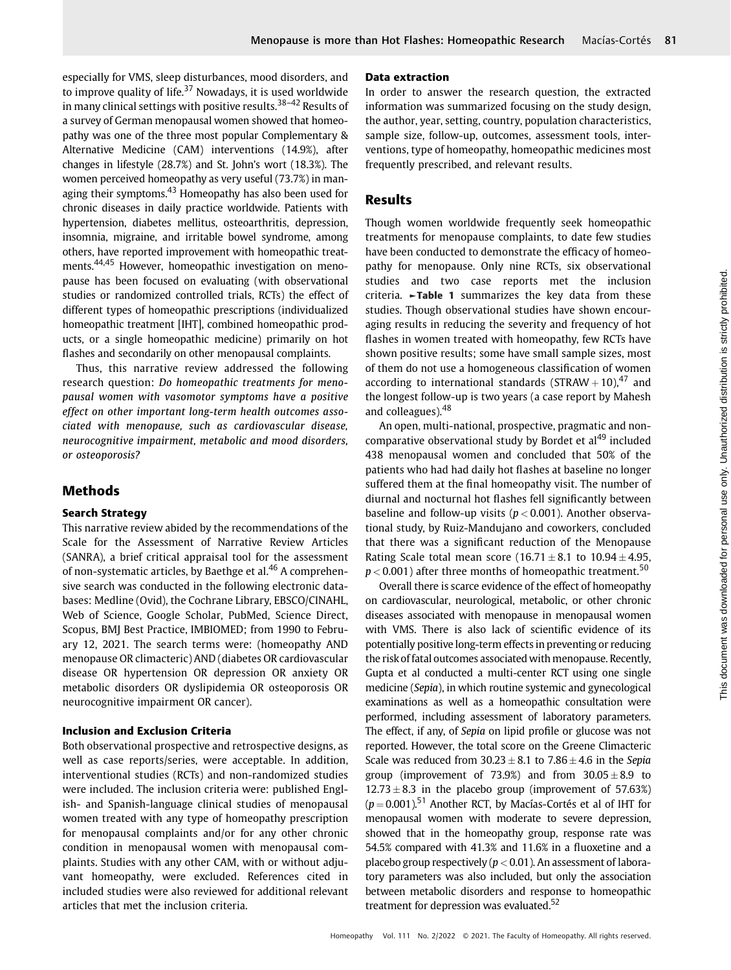especially for VMS, sleep disturbances, mood disorders, and to improve quality of life. $37$  Nowadays, it is used worldwide in many clinical settings with positive results.<sup>38-42</sup> Results of a survey of German menopausal women showed that homeopathy was one of the three most popular Complementary & Alternative Medicine (CAM) interventions (14.9%), after changes in lifestyle (28.7%) and St. John's wort (18.3%). The women perceived homeopathy as very useful (73.7%) in managing their symptoms. $43$  Homeopathy has also been used for chronic diseases in daily practice worldwide. Patients with hypertension, diabetes mellitus, osteoarthritis, depression, insomnia, migraine, and irritable bowel syndrome, among others, have reported improvement with homeopathic treatments.44,45 However, homeopathic investigation on menopause has been focused on evaluating (with observational studies or randomized controlled trials, RCTs) the effect of different types of homeopathic prescriptions (individualized homeopathic treatment [IHT], combined homeopathic products, or a single homeopathic medicine) primarily on hot flashes and secondarily on other menopausal complaints.

Thus, this narrative review addressed the following research question: Do homeopathic treatments for menopausal women with vasomotor symptoms have a positive effect on other important long-term health outcomes associated with menopause, such as cardiovascular disease, neurocognitive impairment, metabolic and mood disorders, or osteoporosis?

## Methods

## Search Strategy

This narrative review abided by the recommendations of the Scale for the Assessment of Narrative Review Articles (SANRA), a brief critical appraisal tool for the assessment of non-systematic articles, by Baethge et al.<sup>46</sup> A comprehensive search was conducted in the following electronic databases: Medline (Ovid), the Cochrane Library, EBSCO/CINAHL, Web of Science, Google Scholar, PubMed, Science Direct, Scopus, BMJ Best Practice, IMBIOMED; from 1990 to February 12, 2021. The search terms were: (homeopathy AND menopause OR climacteric) AND (diabetes OR cardiovascular disease OR hypertension OR depression OR anxiety OR metabolic disorders OR dyslipidemia OR osteoporosis OR neurocognitive impairment OR cancer).

#### Inclusion and Exclusion Criteria

Both observational prospective and retrospective designs, as well as case reports/series, were acceptable. In addition, interventional studies (RCTs) and non-randomized studies were included. The inclusion criteria were: published English- and Spanish-language clinical studies of menopausal women treated with any type of homeopathy prescription for menopausal complaints and/or for any other chronic condition in menopausal women with menopausal complaints. Studies with any other CAM, with or without adjuvant homeopathy, were excluded. References cited in included studies were also reviewed for additional relevant articles that met the inclusion criteria.

#### Data extraction

In order to answer the research question, the extracted information was summarized focusing on the study design, the author, year, setting, country, population characteristics, sample size, follow-up, outcomes, assessment tools, interventions, type of homeopathy, homeopathic medicines most frequently prescribed, and relevant results.

## Results

Though women worldwide frequently seek homeopathic treatments for menopause complaints, to date few studies have been conducted to demonstrate the efficacy of homeopathy for menopause. Only nine RCTs, six observational studies and two case reports met the inclusion criteria. ►Table 1 summarizes the key data from these studies. Though observational studies have shown encouraging results in reducing the severity and frequency of hot flashes in women treated with homeopathy, few RCTs have shown positive results; some have small sample sizes, most of them do not use a homogeneous classification of women according to international standards (STRAW + 10), $47$  and the longest follow-up is two years (a case report by Mahesh and colleagues).<sup>48</sup>

An open, multi-national, prospective, pragmatic and noncomparative observational study by Bordet et al<sup>49</sup> included 438 menopausal women and concluded that 50% of the patients who had had daily hot flashes at baseline no longer suffered them at the final homeopathy visit. The number of diurnal and nocturnal hot flashes fell significantly between baseline and follow-up visits ( $p < 0.001$ ). Another observational study, by Ruiz-Mandujano and coworkers, concluded that there was a significant reduction of the Menopause Rating Scale total mean score  $(16.71 \pm 8.1$  to  $10.94 \pm 4.95$ ,  $p < 0.001$ ) after three months of homeopathic treatment.<sup>50</sup>

Overall there is scarce evidence of the effect of homeopathy on cardiovascular, neurological, metabolic, or other chronic diseases associated with menopause in menopausal women with VMS. There is also lack of scientific evidence of its potentially positive long-term effects in preventing or reducing the risk of fatal outcomes associated with menopause. Recently, Gupta et al conducted a multi-center RCT using one single medicine (Sepia), in which routine systemic and gynecological examinations as well as a homeopathic consultation were performed, including assessment of laboratory parameters. The effect, if any, of Sepia on lipid profile or glucose was not reported. However, the total score on the Greene Climacteric Scale was reduced from  $30.23 \pm 8.1$  to  $7.86 \pm 4.6$  in the Sepia group (improvement of 73.9%) and from  $30.05 \pm 8.9$  to  $12.73 \pm 8.3$  in the placebo group (improvement of 57.63%)  $(p = 0.001)$ <sup>51</sup> Another RCT, by Macías-Cortés et al of IHT for menopausal women with moderate to severe depression, showed that in the homeopathy group, response rate was 54.5% compared with 41.3% and 11.6% in a fluoxetine and a placebo group respectively ( $p < 0.01$ ). An assessment of laboratory parameters was also included, but only the association between metabolic disorders and response to homeopathic treatment for depression was evaluated.<sup>52</sup>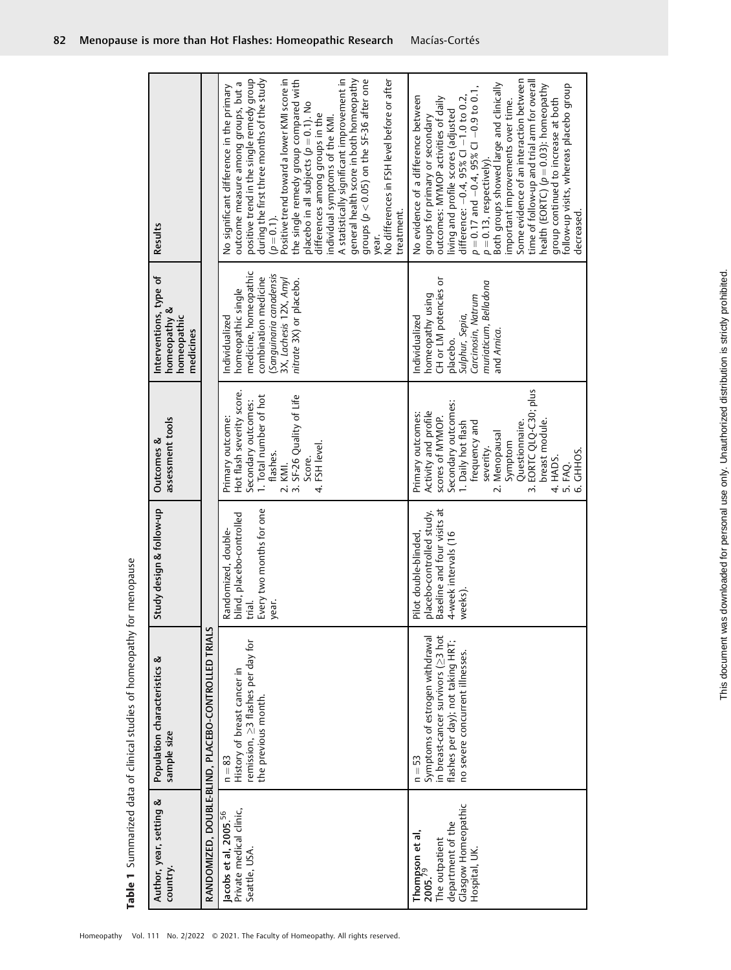| ׇ֚֚֡֬<br> <br> <br> <br> <br> |
|-------------------------------|
|                               |
| 7                             |

| Results                                                            |                                                     | general health score in both homeopathy<br>A statistically significant improvement in<br>positive trend in the single remedy group<br>during the first three months of the study<br>Positive trend toward a lower KMI score in<br>groups ( $p < 0.05$ ) on the SF-36 after one<br>the single remedy group compared with<br>placebo in all subjects ( $p$ = 0.1). No<br>No differences in FSH level before or after<br>outcome measure among groups, but a<br>No significant difference in the primary<br>differences among groups in the<br>individual symptoms of the KMI.<br>treatment.<br>$(p = 0.1)$ . | Some evidence of an interaction between<br>time of follow-up and trial arm for overall<br>Both groups showed large and clinically<br>follow-up visits, whereas placebo group<br>health (EORTC) $(p = 0.03)$ : homeopathy<br>$p = 0.17$ and $-0.4$ , 95% CI $-0.9$ to 0.1,<br>No evidence of a difference between<br>difference: $-0.4$ , 95% Cl $-1.0$ to 0.2,<br>outcomes: MYMOP activities of daily<br>important improvements over time.<br>group continued to increase at both<br>living and profile scores (adjusted<br>groups for primary or secondary<br>$p = 0.13$ , respectively).<br>decreased. |
|--------------------------------------------------------------------|-----------------------------------------------------|------------------------------------------------------------------------------------------------------------------------------------------------------------------------------------------------------------------------------------------------------------------------------------------------------------------------------------------------------------------------------------------------------------------------------------------------------------------------------------------------------------------------------------------------------------------------------------------------------------|----------------------------------------------------------------------------------------------------------------------------------------------------------------------------------------------------------------------------------------------------------------------------------------------------------------------------------------------------------------------------------------------------------------------------------------------------------------------------------------------------------------------------------------------------------------------------------------------------------|
|                                                                    |                                                     | year.                                                                                                                                                                                                                                                                                                                                                                                                                                                                                                                                                                                                      |                                                                                                                                                                                                                                                                                                                                                                                                                                                                                                                                                                                                          |
| Interventions, type of<br>homeopathy &<br>homeopathic<br>medicines |                                                     | medicine, homeopathic<br>Sanguinaria canadensis<br>combination medicine<br>3X, Lachesis 12X, Amyl<br>nitrate 3X) or placebo.<br>homeopathic single<br>Individualized                                                                                                                                                                                                                                                                                                                                                                                                                                       | CH or LM potencies or<br>muriaticum, Belladona<br>homeopathy using<br>Carcinosin, Natrum<br>Sulphur, Sepia,<br>Individualized<br>and Arnica.<br>placebo.                                                                                                                                                                                                                                                                                                                                                                                                                                                 |
| assessment tools<br>Outcomes &                                     |                                                     | Hot flash severity score.<br>1. Total number of hot<br>2. KMI.<br>3. SF-26 Quality of Life<br>Secondary outcomes:<br>Primary outcome:<br>4. FSH level.<br>flashes.<br>Score.<br>KMI.                                                                                                                                                                                                                                                                                                                                                                                                                       | 3. EORTC QLQ-C30; plus<br>Secondary outcomes:<br>Activity and profile<br>Primary outcomes:<br>scores of MYMOP.<br>breast module.<br>1. Daily hot flash<br>frequency and<br>Questionnaire.<br>2. Menopausal<br>Symptom<br>severity.<br>CHHOS.<br>4. HADS.<br>5. FAQ.<br>6. GHHOS                                                                                                                                                                                                                                                                                                                          |
| Study design & follow-up                                           |                                                     | trial.<br>Every two months for one<br>Randomized, double-<br>blind, placebo-controlled                                                                                                                                                                                                                                                                                                                                                                                                                                                                                                                     | aseline and four visits at<br>lacebo-controlled study.<br>Pilot double-blinded,<br>  placebo-controlled stu<br>  Baseline and four visit<br>  4-week intervals (16<br>reeks).<br>$\geq$                                                                                                                                                                                                                                                                                                                                                                                                                  |
| Population characteristics &<br>sample size                        | RANDOMIZED, DOUBLE-BLIND, PLACEBO-CONTROLLED TRIALS | remission, ≥3 flashes per day for<br>History of breast cancer in<br>the previous month.<br>$n = 83$                                                                                                                                                                                                                                                                                                                                                                                                                                                                                                        | in breast-cancer survivors (>>3 hot<br>Symptoms of estrogen withdrawal<br>flashes per day); not taking HRT;<br>no severe concurrent illnesses.<br>$n = 53$                                                                                                                                                                                                                                                                                                                                                                                                                                               |
| Author, year, setting &<br>country.                                |                                                     | Private medical clinic,<br>Jacobs et al, 2005. <sup>56</sup><br>Seattle, USA.                                                                                                                                                                                                                                                                                                                                                                                                                                                                                                                              | Glasgow Homeopathic<br>department of the<br>Thompson et al,<br>2005. <sup>79</sup><br>The outpatient<br>Hospital, UK                                                                                                                                                                                                                                                                                                                                                                                                                                                                                     |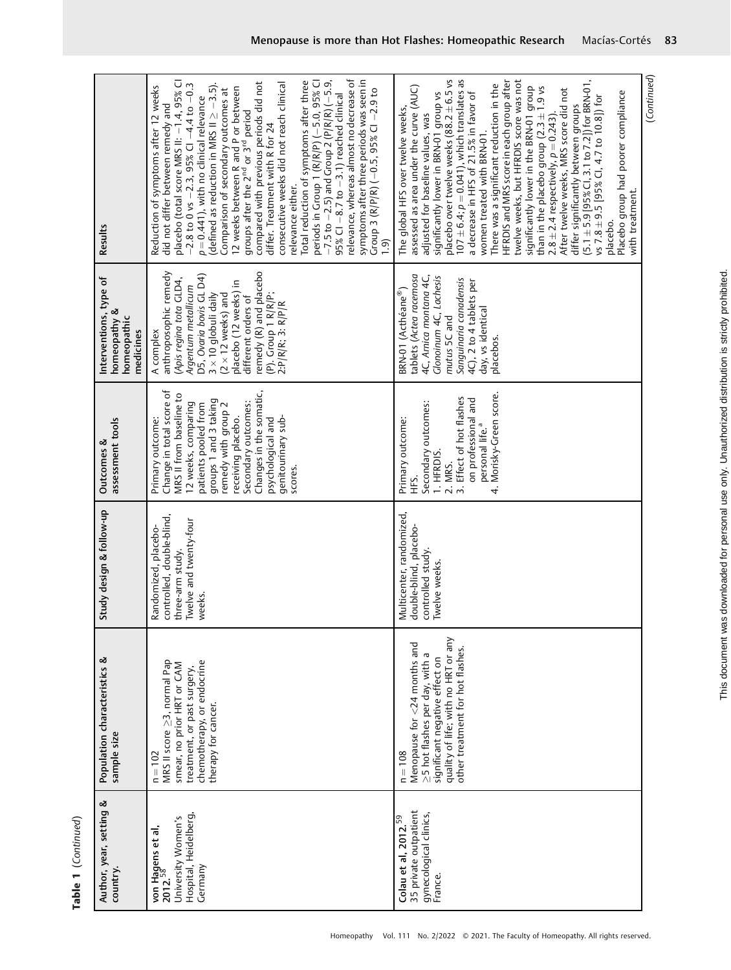| í      |
|--------|
| ī<br>۳ |
|        |
|        |
|        |

| MRS II score $\geq$ 3, normal Pap<br>$n = 102$<br>von Hagens et al,<br>2012. <sup>58</sup>                                                                                                                                                |                                     | Study design & follow-up                                                                                  | assessment tools<br>Outcomes &                                                                                                                                                                                                                                                                       | Interventions, type of<br>homeopathy &<br>homeopathic<br>medicines                                                                                                                                                                                                                                      | Results                                                                                                                                                                                                                                                                                                                                                                                                                                                                                                                                                                                                                                                                                                                                                                                                                                                                                                     |
|-------------------------------------------------------------------------------------------------------------------------------------------------------------------------------------------------------------------------------------------|-------------------------------------|-----------------------------------------------------------------------------------------------------------|------------------------------------------------------------------------------------------------------------------------------------------------------------------------------------------------------------------------------------------------------------------------------------------------------|---------------------------------------------------------------------------------------------------------------------------------------------------------------------------------------------------------------------------------------------------------------------------------------------------------|-------------------------------------------------------------------------------------------------------------------------------------------------------------------------------------------------------------------------------------------------------------------------------------------------------------------------------------------------------------------------------------------------------------------------------------------------------------------------------------------------------------------------------------------------------------------------------------------------------------------------------------------------------------------------------------------------------------------------------------------------------------------------------------------------------------------------------------------------------------------------------------------------------------|
| chemotherapy, or endocrine<br>smear, no prior HRT or CAM<br>treatment, or past surgery,<br>therapy for cancer.<br>Hospital, Heidelberg,<br>University Women's<br>Germany                                                                  |                                     | controlled, double-blind,<br>Twelve and twenty-four<br>Randomized, placebo-<br>three-arm study.<br>weeks. | Change in total score of<br>Changes in the somatic,<br>MRS II from baseline to<br>groups 1 and 3 taking<br>Secondary outcomes:<br>12 weeks, comparing<br>patients pooled from<br>remedy with group 2<br>receiving placebo.<br>psychological and<br>genitourinary sub-<br>Primary outcome:<br>scores. | remedy (R) and placebo<br>anthroposophic remedy<br>D5, Ovaria bovis GL D4)<br>(Apis regina tota GLD4,<br>placebo (12 weeks) in<br>Argentum metallicum<br>(P). Croup 1 R/R/P;<br>$(2 \times 12$ weeks) and<br>$3 \times 10$ globuli daily<br>different orders of<br>$2: P/R/R$ ; $3: R/P/R$<br>A complex | relevance, whereas almost no decrease of<br>symptoms after three periods was seen in<br>$-7.5$ to $-2.5$ ) and Group 2 (P/R/R) ( $-5.9$ ,<br>Total reduction of symptoms after three<br>periods in Group 1 (R/R/P) (-5.0, 95% CI<br>placebo (total score MRS II: -1.4, 95% CI<br>compared with previous periods did not<br>$-2.8$ to 0 vs $-2.3$ , 95% Cl $-4.4$ to $-0.3$<br>consecutive weeks did not reach clinical<br>(defined as reduction in MRS II $\ge -3.5$ ).<br>Reduction of symptoms after 12 weeks<br>12 weeks between R and P or between<br>groups after the 2 <sup>nd</sup> or 3 <sup>rd</sup> period<br>Comparison of secondary outcomes at<br>Group 3 (R/P/R) (-0.5, 95% CI -2.9 to<br>$95\%$ CI $-8.7$ to $-3.1$ ) reached clinical<br>$p = 0.441$ ), with no clinical relevance<br>did not differ between remedy and<br>differ. Treatment with R for 24<br>relevance either.<br><u>ີ</u> |
| Menopause for <24 months and<br>other treatment for hot flashes.<br>>5 hot flashes per day, with a<br>significant negative effect on<br>$n = 108$<br>35 private outpatient<br>gynecological clinics,<br>Colau et al, $2012.59$<br>France. | quality of life; with no HRT or any | Multicenter, randomized,<br>double-blind, placebo-<br>controlled study.<br>Twelve weeks.                  | Morisky-Green score.<br>3. Effect of hot flashes<br>on professional and<br>Secondary outcomes:<br>Primary outcome:<br>personal life. <sup>a</sup><br>1. HFRDIS.<br>2. MRS.<br>Ϋ́<br>Έ<br>4.                                                                                                          | tablets (Actea racemosa<br>4C, Arnica montana 4C,<br>Glonoinum 4C, Lachesis<br>Sanguinaria canadensis<br>4C), 2 to 4 tablets per<br>BRN-01 (Acthéane®)<br>day, vs identical<br>mutus 5C and<br>placebos.                                                                                                | differ significantly between groups<br>(5.1 $\pm$ 5.9 [95% Cl, 3.1 to 7.2]) for BRN-01,<br>HFRDIS and MRS score in each group after<br>placebo over twelve weeks $(88.2 \pm 6.5$ vs<br>107 $\pm$ 6.4; $p = 0.041$ ), which translates as<br>twelve weeks, but HFRDIS score was not<br>There was a significant reduction in the<br>assessed as area under the curve (AUC)<br>significantly lower in the BRN-01 group<br>than in the placebo group (2.3±1.9 vs<br>After twelve weeks, MRS score did not<br>Placebo group had poorer compliance<br>a decrease in HFS of 21.5% in favor of<br>significantly lower in BRN-01 group vs<br>vs 7.8 $\pm$ 9.5 [95% Cl, 4.7 to 10.8]) for<br>The global HFS over twelve weeks,<br>adjusted for baseline values, was<br>$2.8 \pm 2.4$ respectively, $p = 0.243$ )<br>women treated with BRN-01.<br>with treatment.<br>placebo.                                         |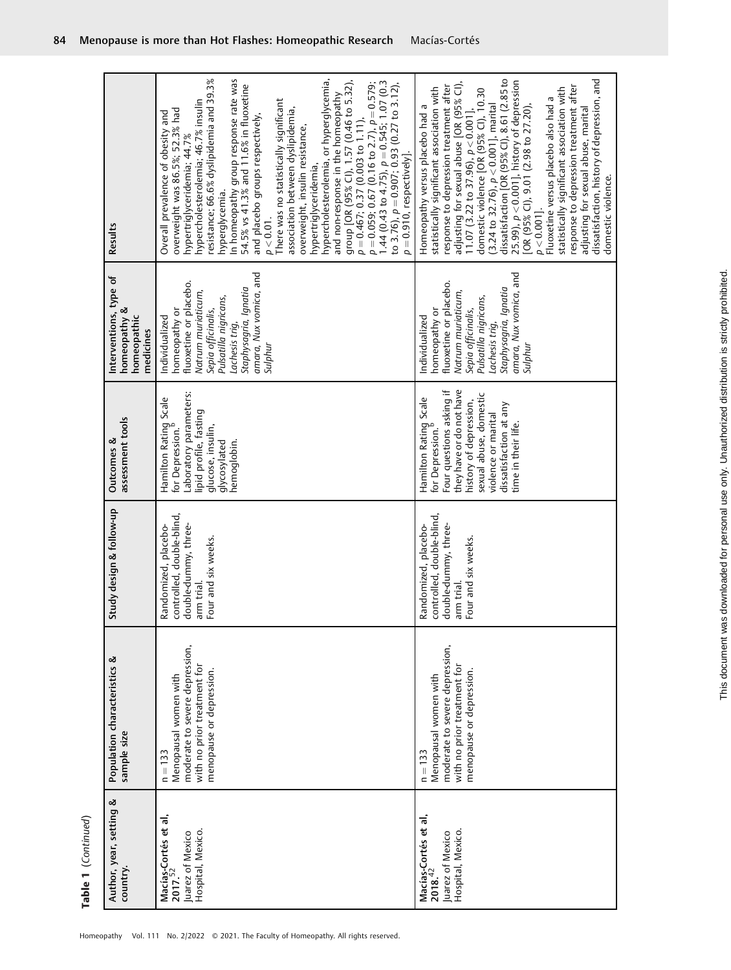| Author, year, setting &                                                              | Population characteristics &                                                                                                    | Study design & follow-up                                                                                       | Outcomes &                                                                                                                                                                                                                                | Interventions, type of                                                                                                                                                                                         | Results                                                                                                                                                                                                                                                                                                                                                                                                                                                                                                                                                                                                                                                                                                                                                                                                                                                |
|--------------------------------------------------------------------------------------|---------------------------------------------------------------------------------------------------------------------------------|----------------------------------------------------------------------------------------------------------------|-------------------------------------------------------------------------------------------------------------------------------------------------------------------------------------------------------------------------------------------|----------------------------------------------------------------------------------------------------------------------------------------------------------------------------------------------------------------|--------------------------------------------------------------------------------------------------------------------------------------------------------------------------------------------------------------------------------------------------------------------------------------------------------------------------------------------------------------------------------------------------------------------------------------------------------------------------------------------------------------------------------------------------------------------------------------------------------------------------------------------------------------------------------------------------------------------------------------------------------------------------------------------------------------------------------------------------------|
| country.                                                                             | sample size                                                                                                                     |                                                                                                                | assessment tools                                                                                                                                                                                                                          | homeopathy &<br>homeopathic<br>medicines                                                                                                                                                                       |                                                                                                                                                                                                                                                                                                                                                                                                                                                                                                                                                                                                                                                                                                                                                                                                                                                        |
| Macías-Cortés et al,<br>2017. <sup>52</sup><br>Hospital, Mexico.<br>Juarez of Mexico | moderate to severe depression,<br>with no prior treatment for<br>menopause or depression.<br>Menopausal women with<br>$n = 133$ | controlled, double-blind,<br>double-dummy, three-<br>Randomized, placebo-<br>Four and six weeks.<br>arm trial. | Laboratory parameters:<br>Hamilton Rating Scale<br>lipid profile, fasting<br>glucose, insulin,<br>for Depression.<br>glycosylated<br>hemoglobin.                                                                                          | amara, Nux vomica, and<br>fluoxetine or placebo.<br>Staphysagria, Ignatia<br>Natrum muriaticum,<br>Pulsatilla nigricans,<br>homeopathy or<br>Sepia officinalis,<br>Individualized<br>Lachesis trig,<br>Sulphur | resistance; 66.6% dyslipidemia and 39.3%<br>In homeopathy group response rate was<br>hypercholesterolemia, or hyperglycemia,<br>group [OR (95% Cl), 1.57 (0.46 to 5.32),<br>$\bar{p} = 0.467; 0.37 (0.003 to 1.11),$<br>$p = 0.059; 0.67 (0.16 to 2.7),$ $p = 0.579;$<br>$1.44 (0.43 to 4.75),$ $p = 0.545; 1.07 (0.3)$<br>to 3.76), $p = 0.907$ ; 0.93 (0.27 to 3.12),<br>54.5% vs 41.3% and 11.6% in fluoxetine<br>and non-response in the homeopathy<br>There was no statistically significant<br>hypercholesterolemia; 46.7% insulin<br>association between dyslipidemia,<br>overweight was 86.5%; 52.3% had<br>Overall prevalence of obesity and<br>and placebo groups respectively,<br>overweight, insulin resistance,<br>hypertriglyceridemia; 44.7%<br>$p = 0.910$ , respectively].<br>hypertriglyceridemia,<br>hyperglycemia.<br>$p < 0.01$ . |
| Macías-Cortés et al,<br>2018. <sup>42</sup><br>Hospital, Mexico.<br>Juarez of Mexico | moderate to severe depression,<br>with no prior treatment for<br>menopause or depression.<br>Menopausal women with<br>$n = 133$ | controlled, double-blind,<br>Randomized, placebo-<br>double-dummy, three-<br>Four and six weeks.<br>arm trial. | they have or do not have<br>Four questions asking if<br>sexual abuse, domestic<br>Hamilton Rating Scale<br>for Depression. <sup>b</sup><br>history of depression,<br>dissatisfaction at any<br>violence or marital<br>time in their life. | amara, Nux vomica, and<br>fluoxetine or placebo.<br>Staphysagria, Ignatia<br>Natrum muriaticum,<br>Pulsatilla nigricans,<br>homeopathy or<br>Sepia officinalis,<br>Individualized<br>Lachesis trig,<br>Sulphur | dissatisfaction, history of depression, and<br>disatisfaction [OR (95% CI), 8.61 (2.85 to<br>25.99), $p < 0.001$ ], history of depression<br>[OR (95% CI), 9.01 (2.98 to 27.20),<br>adjusting for sexual abuse [OR (95% Cl),<br>response to depression treatment after<br>response to depression treatment after<br>statistically significant association with<br>statistically significant association with<br>domestic violence [OR (95% Cl), 10.30<br>p < 0.001].<br>Fluoxetine versus placebo also had a<br>$(3.24 \text{ to } 32.76), p < 0.001$ , marital<br>Homeopathy versus placebo had a<br>adjusting for sexual abuse, marital<br>11.07 (3.22 to 37.96), $p < 0.001$ ],<br>domestic violence.                                                                                                                                               |

I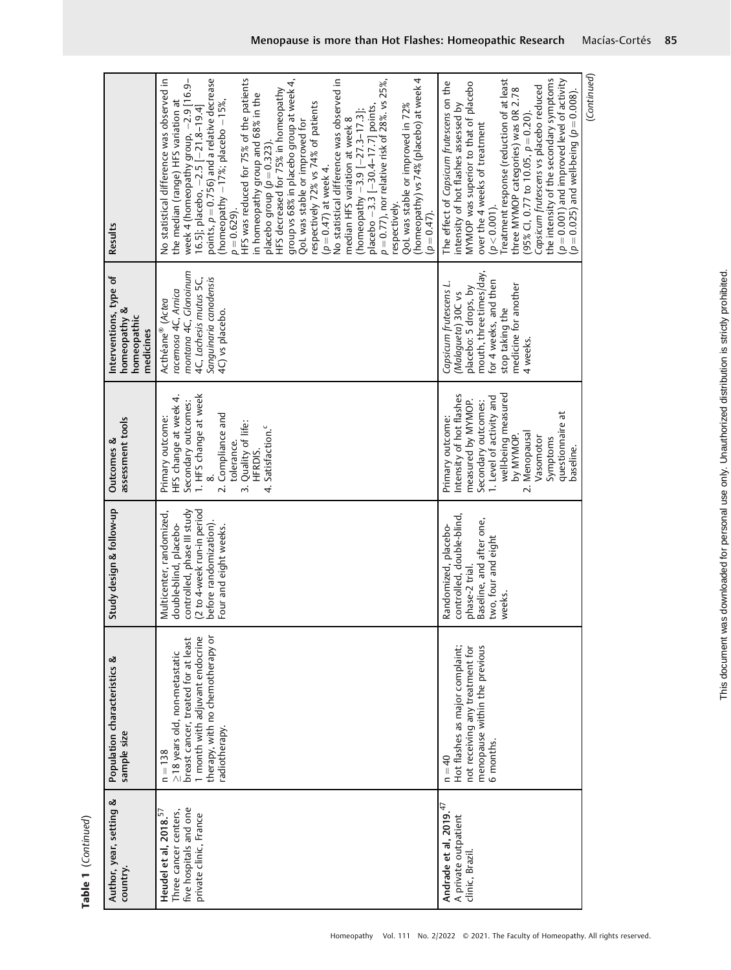| Results                                                            | points, $p = 0.756$ ) and a relative decrease<br>HFS was reduced for 75% of the patients<br>(homeopathy) vs 74% (placebo) at week 4<br>No statistical difference was observed in<br>$p = 0.77$ ), nor relative risk of 28%. vs 25%,<br>week 4 (homeopathy group, –2.9 [16.9–<br>16.5]; placebo, –2.5 [–21.8–19.4]<br>group vs 68% in placebo group at week 4,<br>No statistical difference was observed in<br>placebo group (ρ = 0.323).<br>HFS decreased for 75% in homeopathy<br>in homeopathy group and 68% in the<br>(homeopathy $-17\%$ ; placebo $-15\%$ ,<br>the median (range) HFS variation at<br>respectively 72% vs 74% of patients<br>placebo -3.3 [-30.4-17.7] points,<br>QoL was stable or improved in 72%<br>(homeopathy -3.9 [-27.3-17.3];<br>median HFS variation at week 8<br>QoL was stable or improved for<br>$(p = 0.47)$ at week 4.<br>respectively<br>$p = 0.629$ .<br>$(p = 0.47)$ . | the intensity of the secondary symptoms<br>( $p = 0.001$ ) and improved level of activity<br>Treatment response (reduction of at least<br>The effect of Capsicum frutescens on the<br>MYMOP was superior to that of placebo<br>$(p = 0.025)$ and well-being $(p = 0.008)$ .<br>Capsicum frutescens vs placebo reduced<br>three MYMOP categories) was 0R 2.78<br>(95% Cl, 0.77 to 10.05, $p = 0.20$ ).<br>intensity of hot flashes assessed by<br>over the 4 weeks of treatment<br>$(p < 0.001)$ . |
|--------------------------------------------------------------------|--------------------------------------------------------------------------------------------------------------------------------------------------------------------------------------------------------------------------------------------------------------------------------------------------------------------------------------------------------------------------------------------------------------------------------------------------------------------------------------------------------------------------------------------------------------------------------------------------------------------------------------------------------------------------------------------------------------------------------------------------------------------------------------------------------------------------------------------------------------------------------------------------------------|---------------------------------------------------------------------------------------------------------------------------------------------------------------------------------------------------------------------------------------------------------------------------------------------------------------------------------------------------------------------------------------------------------------------------------------------------------------------------------------------------|
| Interventions, type of<br>homeopathy &<br>homeopathic<br>medicines | montana 4C, Glonoinum<br>Sanguinaria canadensis<br>4C, Lachesis mutus 5C,<br>racemosa 4C, Arnica<br>Acthéane® (Actea<br>4C) vs placebo.                                                                                                                                                                                                                                                                                                                                                                                                                                                                                                                                                                                                                                                                                                                                                                      | mouth, three times/day,<br>for 4 weeks, and then<br>Capsicum frutescens L.<br>medicine for another<br>placebo: 5 drops, by<br>(Malagueta) 30C vs<br>stop taking the<br>4 weeks.                                                                                                                                                                                                                                                                                                                   |
| assessment tools<br>Outcomes &                                     | 1. HFS change at week<br>HFS change at week 4.<br>Secondary outcomes:<br>2. Compliance and<br>Primary outcome:<br>Quality of life:<br>Satisfaction. <sup>c</sup><br>tolerance.<br>HFRDIS.<br>$\ddot{ }$<br>4.                                                                                                                                                                                                                                                                                                                                                                                                                                                                                                                                                                                                                                                                                                | well-being measured<br>Intensity of hot flashes<br>1. Level of activity and<br>measured by MYMOP.<br>Secondary outcomes:<br>questionnaire at<br>Primary outcome:<br>2. Menopausal<br>by MYMOP.<br>Vasomotor<br>Symptoms<br>baseline.                                                                                                                                                                                                                                                              |
| Study design & follow-up                                           | controlled, phase III study<br>(2 to 4-week run-in period<br>Multicenter, randomized,<br>before randomization).<br>double-blind, placebo-<br>Four and eight weeks.                                                                                                                                                                                                                                                                                                                                                                                                                                                                                                                                                                                                                                                                                                                                           | controlled, double-blind,<br>Baseline, and after one,<br>Randomized, placebo-<br>two, four and eight<br>phase-2 trial<br>weeks.                                                                                                                                                                                                                                                                                                                                                                   |
| Population characteristics &<br>sample size                        | therapy, with no chemotherapy or<br>1 month with adjuvant endocrine<br>breast cancer, treated for at least<br>≥18 years old, non-metastatic<br>radiotherapy.<br>$n = 138$                                                                                                                                                                                                                                                                                                                                                                                                                                                                                                                                                                                                                                                                                                                                    | menopause within the previous<br>Hot flashes as major complaint;<br>not receiving any treatment for<br>6 months.<br>$n = 40$                                                                                                                                                                                                                                                                                                                                                                      |
| Author, year, setting &<br>country.                                | five hospitals and one<br>Heudel et al, 2018. <sup>57</sup><br>Three cancer centers,<br>private clinic, France                                                                                                                                                                                                                                                                                                                                                                                                                                                                                                                                                                                                                                                                                                                                                                                               | Andrade et al, 2019. $47$<br>A private outpatient<br>clinic, Brazil.                                                                                                                                                                                                                                                                                                                                                                                                                              |

(Continued)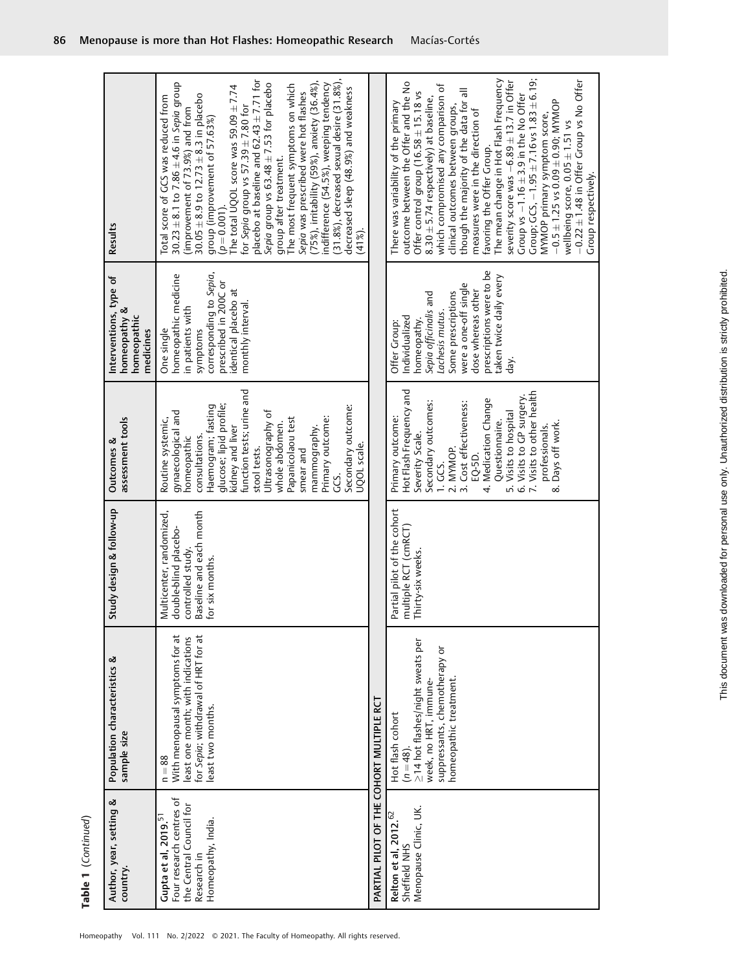| Results                                                            | (31.8%), decreased sexual desire (31.8%),<br>placebo at baseline and $62.43 \pm 7.71$ for<br>(75%), irritability (59%), anxiety (36.4%),<br>30.23 $\pm$ 8.1 to 7.86 $\pm$ 4.6 in Sepia group<br>Sepia group vs $63.48 \pm 7.53$ for placebo<br>indifference (54.5%), weeping tendency<br>The most frequent symptoms on which<br>The total UQOL score was 59.09 $\pm$ 7.74<br>decreased sleep (48.9%) and weakness<br>Sepia was prescribed were hot flashes<br>$30.05 \pm 8.9$ to $12.73 \pm 8.3$ in placebo<br>Total score of GCS was reduced from<br>for Sepia group vs $57.39 \pm 7.80$ for<br>(improvement of 73.9%) and from<br>group (improvement of 57.63%)<br>group after treatment.<br>$(p = 0.001)$<br>$(41\%)$ . |                                          | The mean change in Hot Flash Frequency<br>Group; $GCS$ , $-1.95 \pm 7.16$ vs $1.83 \pm 6.19$ ;<br>$-0.22 \pm 1.48$ in Offer Group vs No Offer<br>severity score was $-6.89 \pm 13.7$ in Offer<br>outcome between the Offer and the No<br>which compromised any comparison of<br>though the majority of the data for all<br>Offer control group (16.58 $\pm$ 15.18 vs<br>Group vs $-1.16 \pm 3.9$ in the No Offer<br>$8.30 \pm 5.74$ respectively) at baseline,<br>$-0.5 \pm 1.25$ vs $0.09 \pm 0.90$ ; MYMOP<br>There was variability of the primary<br>clinical outcomes between groups,<br>measures were in the direction of<br>MYMOP primary symptom score,<br>wellbeing score, 0.05 ± 1.51 vs<br>favoring the Offer Group.<br>Group respectively. |
|--------------------------------------------------------------------|----------------------------------------------------------------------------------------------------------------------------------------------------------------------------------------------------------------------------------------------------------------------------------------------------------------------------------------------------------------------------------------------------------------------------------------------------------------------------------------------------------------------------------------------------------------------------------------------------------------------------------------------------------------------------------------------------------------------------|------------------------------------------|-------------------------------------------------------------------------------------------------------------------------------------------------------------------------------------------------------------------------------------------------------------------------------------------------------------------------------------------------------------------------------------------------------------------------------------------------------------------------------------------------------------------------------------------------------------------------------------------------------------------------------------------------------------------------------------------------------------------------------------------------------|
| Interventions, type of<br>homeopathy &<br>homeopathic<br>medicines | corresponding to Sepia,<br>homeopathic medicine<br>prescribed in 200C or<br>identical placebo at<br>monthly interval.<br>in patients with<br>symptoms<br>One single                                                                                                                                                                                                                                                                                                                                                                                                                                                                                                                                                        |                                          | prescriptions were to be<br>taken twice daily every<br>were a one-off single<br>dose whereas other<br>Some prescriptions<br>Sepia officinalis and<br>Lachesis mutus.<br>Individualized<br>nomeopathy.<br>Offer Group:<br>خ<br>Ə                                                                                                                                                                                                                                                                                                                                                                                                                                                                                                                       |
| assessment tools<br>Outcomes &                                     | function tests; urine and<br>glucose; lipid profile;<br>Haemogram; fasting<br>Secondary outcome:<br>gynaecological and<br>Ultrasonography of<br>Primary outcome:<br>Papanicolaou test<br>Routine systemic,<br>whole abdomen<br>kidney and liver<br>mammography.<br>consultations.<br>homeopathic<br>UQOL scale.<br>stool tests.<br>smear and<br>GS.                                                                                                                                                                                                                                                                                                                                                                        |                                          | Hot Flash Frequency and<br>6. Visits to GP surgery.<br>7. Visits to other health<br>Medication Change<br>Secondary outcomes:<br>Cost effectiveness:<br>Visits to hospital<br>Primary outcome:<br>Questionnaire.<br>Days off work.<br>professionals.<br>Severity Scale.<br>2. MYMOP.<br>EQ-5D.<br>l GS.<br>$\ddot{ }$<br>n.<br>$\dot{\infty}$<br>4.                                                                                                                                                                                                                                                                                                                                                                                                    |
| Study design & follow-up                                           | Multicenter, randomized,<br>Baseline and each month<br>double-blind placebo-<br>controlled study.<br>or six months.                                                                                                                                                                                                                                                                                                                                                                                                                                                                                                                                                                                                        |                                          | Partial pilot of the cohort<br>nultiple RCT (cmRCT)<br>hirty-six weeks.                                                                                                                                                                                                                                                                                                                                                                                                                                                                                                                                                                                                                                                                               |
| Population characteristics &<br>sample size                        | With menopausal symptoms for at<br>for Sepia; withdrawal of HRT for at<br>least one month; with indications<br>least two months.<br>$n = 88$                                                                                                                                                                                                                                                                                                                                                                                                                                                                                                                                                                               |                                          | >14 hot flashes/night sweats per<br>suppressants, chemotherapy or<br>homeopathic treatment.<br>week, no HRT, immune-<br>Hot flash cohort<br>$(n = 48).$                                                                                                                                                                                                                                                                                                                                                                                                                                                                                                                                                                                               |
| Author, year, setting &<br>country.                                | Four research centres of<br>the Central Council for<br>Gupta et al, 2019. <sup>51</sup><br>Homeopathy, India.<br>Research in                                                                                                                                                                                                                                                                                                                                                                                                                                                                                                                                                                                               | PARTIAL PILOT OF THE COHORT MULTIPLE RCT | Menopause Clinic, UK.<br>Relton et al, $2012.62$<br>Sheffield NHS                                                                                                                                                                                                                                                                                                                                                                                                                                                                                                                                                                                                                                                                                     |

Г

This document was downloaded for personal use only. Unauthorized distribution is strictly prohibited. This document was downloaded for personal use only. Unauthorized distribution is strictly prohibited.

Table 1 (Continued) Table 1 (Continued)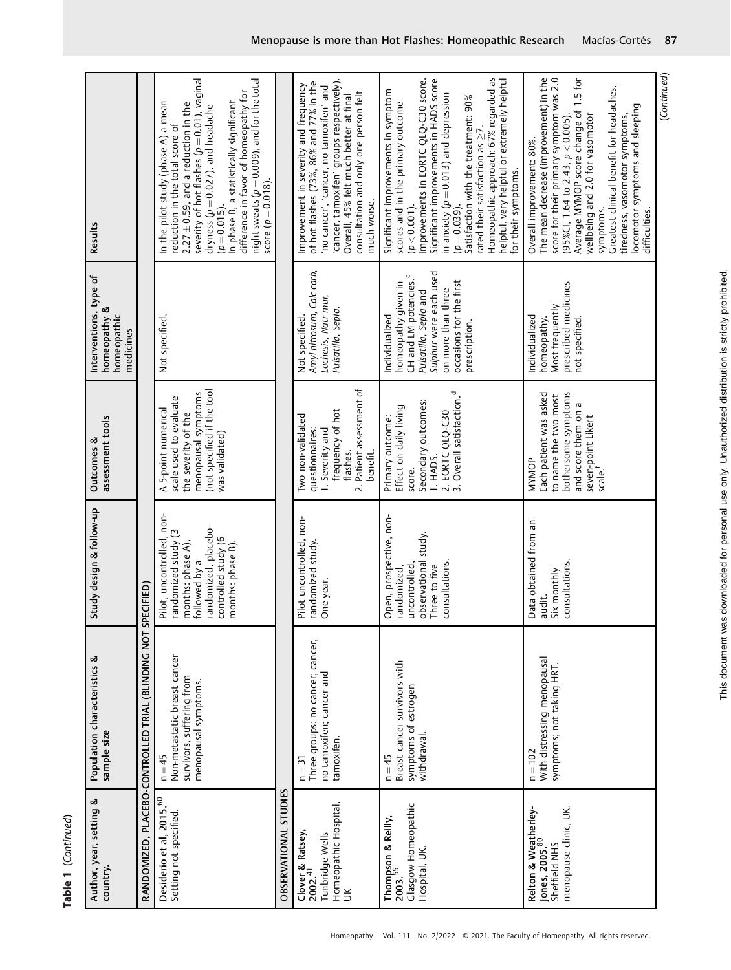| ļ<br>j<br>י ומו<br>$\frac{1}{2}$ |  |
|----------------------------------|--|
| ä<br>r                           |  |

| (Continued)<br>Greatest clinical benefit for headaches,<br>locomotor symptoms and sleeping<br>wellbeing and 2.0 for vasomotor<br>tiredness, vasomotor symptoms,<br>symptoms.<br>difficulties.                                                                                                                                                                                                                                                |
|----------------------------------------------------------------------------------------------------------------------------------------------------------------------------------------------------------------------------------------------------------------------------------------------------------------------------------------------------------------------------------------------------------------------------------------------|
| The mean decrease (improvement) in the<br>score for their primary symptom was 2.0<br>Average MYMOP score change of 1.5 for<br>(95%Cl, 1.64 to 2.43, $p < 0.005$ ).<br>Overall improvement: 80%.                                                                                                                                                                                                                                              |
| Homeopathic approach: 67% regarded as<br>Improvements in EORTC QLQ-C30 score.<br>Significant improvements in HADS score<br>helpful, very helpful or extremely helpful<br>Significant improvements in symptom<br>in anxiety ( $p = 0.013$ ) and depression<br>Satisfaction with the treatment: 90%<br>scores and in the primary outcome<br>rated their satisfaction as $\geq$ 7.<br>for their symptoms.<br>$(p = 0.039)$ .<br>$(p < 0.001)$ . |
| 'cancer, tamoxifen' groups respectively).<br>Improvement in severity and frequency<br>of hot flashes (73%, 86% and 77% in the<br>'no cancer', 'cancer, no tamoxifen' and<br>consultation and only one person felt<br>Overall, 45% felt much better at final<br>much worse.                                                                                                                                                                   |
|                                                                                                                                                                                                                                                                                                                                                                                                                                              |
| severity of hot flashes $(p = 0.01)$ , vaginal<br>night sweats ( $p = 0.009$ ), and for the total<br>difference in favor of homeopathy for<br>In phase B, a statistically significant<br>In the pilot study (phase A) a mean<br>$2.27 \pm 0.59$ , and a reduction in the<br>dryness ( $p = 0.027$ ), and headache<br>reduction in the total score of<br>score ( $p = 0.018$ ).<br>$(p=0.015)$ .                                              |
|                                                                                                                                                                                                                                                                                                                                                                                                                                              |
| Results                                                                                                                                                                                                                                                                                                                                                                                                                                      |

Homeopathy Vol. 111 No. 2/2022 © 2021. The Faculty of Homeopathy. All rights reserved.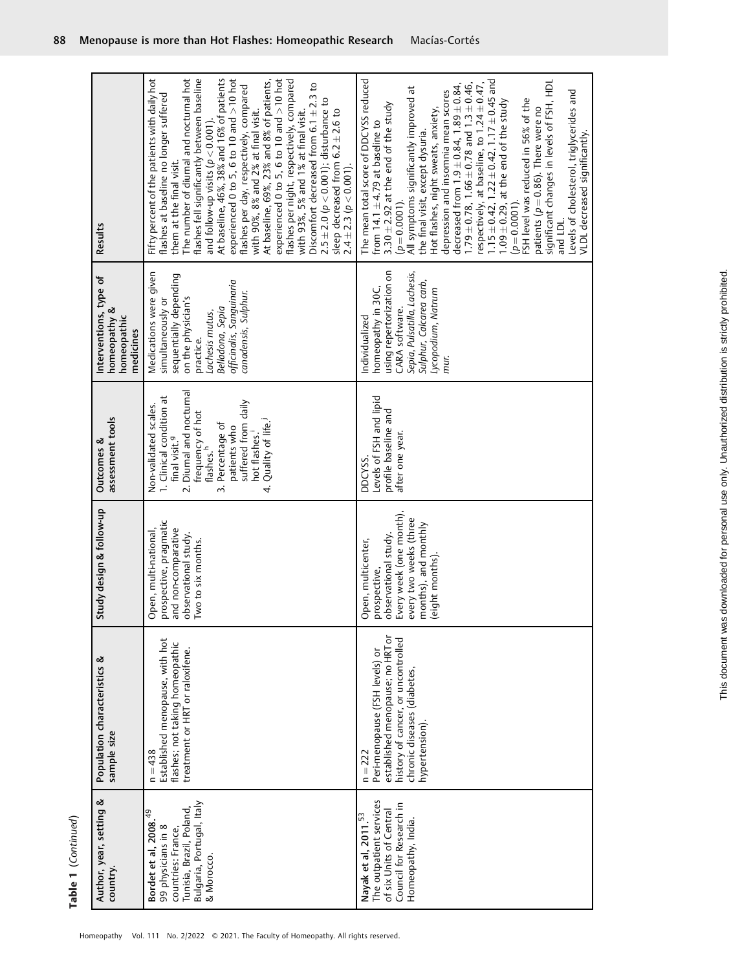| Author, year, setting &<br>country.                                                                                                              | Population characteristics &<br>sample size                                                                                                                            | Study design & follow-up                                                                                                                                   | assessment tools<br>Outcomes &                                                                                                                                                                                                                                                    | Interventions, type of<br>homeopathy &<br>homeopathic<br>medicines                                                                                                                                  | Results                                                                                                                                                                                                                                                                                                                                                                                                                                                                                                                                                                                                                                                                                                                                                                                                                |
|--------------------------------------------------------------------------------------------------------------------------------------------------|------------------------------------------------------------------------------------------------------------------------------------------------------------------------|------------------------------------------------------------------------------------------------------------------------------------------------------------|-----------------------------------------------------------------------------------------------------------------------------------------------------------------------------------------------------------------------------------------------------------------------------------|-----------------------------------------------------------------------------------------------------------------------------------------------------------------------------------------------------|------------------------------------------------------------------------------------------------------------------------------------------------------------------------------------------------------------------------------------------------------------------------------------------------------------------------------------------------------------------------------------------------------------------------------------------------------------------------------------------------------------------------------------------------------------------------------------------------------------------------------------------------------------------------------------------------------------------------------------------------------------------------------------------------------------------------|
| Bulgaria, Portugal, Italy<br>Tunisia, Brazil, Poland,<br>Q<br>4<br>Bordet et al, 2008.<br>99 physicians in 8<br>countries: France,<br>& Morocco. | Established menopause, with hot<br>flashes; not taking homeopathic<br>treatment or HRT or raloxifene.<br>$n = 438$                                                     | prospective, pragmatic<br>  and non-comparative<br>  observational study.<br>  Two to six months.<br>Open, multi-national,                                 | 2. Diurnal and nocturnal<br>Clinical condition at<br>suffered from daily<br>Non-validated scales.<br>1. Clinical condition a<br>frequency of hot<br>flashes. <sup>h</sup><br>4. Quality of life.<br>3. Percentage of<br>patients who<br>hot flashes.<br>final visit. <sup>9</sup> | Medications were given<br>sequentially depending<br>officinalis, Sanguinaria<br>canadensis, Sulphur.<br>on the physician's<br>simultaneously or<br>Belladona, Sepia<br>Lachesis mutus,<br>practice. | The number of diumal and nocturnal hot<br>Fifty percent of the patients with daily hot<br>flashes fell significantly between baseline<br>experienced 0 to 5, 6 to 10 and $>$ 10 hot<br>experienced 0 to 5, 6 to 10 and $>$ 10 hot<br>At baseline, 46%, 38% and 16% of patients<br>At baseline, 69%, 23% and 8% of patients,<br>flashes per night, respectively, compared<br>Discomfort decreased from $6.1 \pm 2.3$ to<br>flashes per day, respectively, compared<br>flashes at baseline no longer suffered<br>$2.5 \pm 2.0$ ( $p < 0.001$ ); disturbance to<br>with 90%, 8% and 2% at final visit.<br>with 93%, 5% and 1% at final visit.<br>sleep decreased from $6.2 \pm 2.6$ to<br>and follow-up visits $(p < 0.001)$ .<br>them at the final visit.<br>$2.4 \pm 2.3$ ( $p < 0.001$ ).                              |
| The outpatient services<br>Council for Research in<br>of six Units of Central<br>Nayak et al, 2011. <sup>53</sup><br>Homeopathy, India.          | established menopause; no HRT or<br>history of cancer, or uncontrolled<br>Peri-menopause (FSH levels) or<br>chronic diseases (diabetes,<br>hypertension).<br>$n = 222$ | prospective,<br>observational study.<br>Every week (one month),<br>every two weeks (three<br>months), and monthly<br>(eight months).<br>Open, multicenter, | Levels of FSH and lipid<br>profile baseline and<br>after one year.<br>DDCYSS.                                                                                                                                                                                                     | using repertorization on<br>Sepia, Pulsatilla, Lachesis,<br>Sulphur, Calcarea carb,<br>homeopathy in 30C,<br>Lycopodium, Natrum<br>CARA software.<br>Individualized<br>mur.                         | The mean total score of DDCYSS reduced<br>$1.15 \pm 0.42$ , $1.22 \pm 0.42$ , $1.17 \pm 0.45$ and<br>significant changes in levels of FSH, HDL<br>respectively, at baseline, to $1.24 \pm 0.47$ ,<br>$1.79 \pm 0.78$ , $1.66 \pm 0.78$ and $1.3 \pm 0.46$ ,<br>decreased from $1.9 \pm 0.84$ , $1.89 \pm 0.84$ ,<br>All symptoms significantly improved at<br>depression and insomnia mean scores<br>Levels of cholesterol, triglycerides and<br>FSH level was reduced in 56% of the<br>$1.09 \pm 0.29$ , at the end of the study<br>$3.30 \pm 2.92$ at the end of the study<br>patients ( $p = 0.86$ ). There were no<br>Hot flashes, night sweats, anxiety,<br>from $14.1 \pm 4.79$ at baseline to<br>the final visit, except dysuria.<br>VLDL decreased significantly.<br>$(p=0.0001)$ .<br>$(p=0.0001)$<br>and LDL |

Homeopathy Vol. 111 No. 2/2022 © 2021. The Faculty of Homeopathy. All rights reserved.

Table 1 (Continued)

Table 1 (Continued)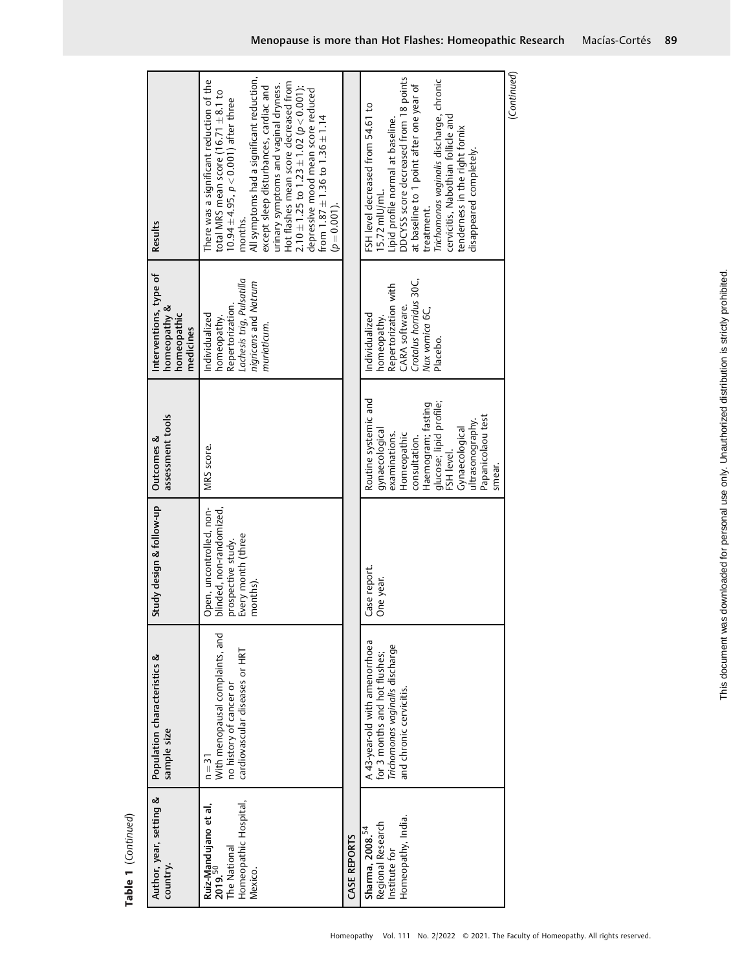| Author, year, setting &<br>country.                                                              | Population characteristics &<br>sample size                                                                                   | Study design & follow-up                                                                                     | assessment tools<br>Outcomes &                                                                                                                                                                                              | Interventions, type of<br>homeopathy &<br>homeopathic<br>nedicines                                                              | Results                                                                                                                                                                                                                                                                                                                                                                                                                                                                         |
|--------------------------------------------------------------------------------------------------|-------------------------------------------------------------------------------------------------------------------------------|--------------------------------------------------------------------------------------------------------------|-----------------------------------------------------------------------------------------------------------------------------------------------------------------------------------------------------------------------------|---------------------------------------------------------------------------------------------------------------------------------|---------------------------------------------------------------------------------------------------------------------------------------------------------------------------------------------------------------------------------------------------------------------------------------------------------------------------------------------------------------------------------------------------------------------------------------------------------------------------------|
| Homeopathic Hospital,<br>Ruiz-Mandujano et al,<br>2019. <sup>50</sup><br>The National<br>Mexico. | With menopausal complaints, and<br>cardiovascular diseases or HRT<br>no history of cancer or<br>$n = 31$                      | blinded, non-randomized,<br>Open, uncontrolled, non-<br>Every month (three<br>prospective study.<br>months). | MRS score.                                                                                                                                                                                                                  | Lachesis trig, Pulsatilla<br>nigricans and Natrum<br>Repertorization.<br>Individualized<br>homeopathy.<br>muriaticum.           | All symptoms had a significant reduction,<br>There was a significant reduction of the<br>Hot flashes mean score decreased from<br>2.10 $\pm$ 1.25 to 1.23 $\pm$ 1.02 (p $<$ 0.001);<br>urinary symptoms and vaginal dryness.<br>except sleep disturbances, cardiac and<br>depressive mood mean score reduced<br>total MRS mean score $(16.71 \pm 8.1$ to<br>$10.94 \pm 4.95$ , $p < 0.001$ ) after three<br>from $1.87 \pm 1.36$ to $1.36 \pm 1.14$<br>$(p=0.001)$ .<br>months. |
| CASE REPORTS                                                                                     |                                                                                                                               |                                                                                                              |                                                                                                                                                                                                                             |                                                                                                                                 |                                                                                                                                                                                                                                                                                                                                                                                                                                                                                 |
| Homeopathy, India.<br>Regional Research<br>Sharma, $2008.^{54}$<br>Institute for                 | A 43-year-old with amenorrhoea<br>for 3 months and hot flushes;<br>Trichomonas vaginalis discharge<br>and chronic cervicitis. | Case report.<br>One year.                                                                                    | Routine systemic and<br>glucose; lipid profile;<br>Haemogram; fasting<br>Papanicolaou test<br>ultrasonography.<br>Gynaecological<br>gynaecological<br>Homeopathic<br>examinations.<br>consultation.<br>FSH level.<br>smear. | Crotalus horridus 30C,<br>Repertorization with<br>CARA software.<br>Nux vomica 6C,<br>Individualized<br>homeopathy.<br>Placebo. | DDCYSS score decreased from 18 points<br>Trichomonas vaginalis discharge, chronic<br>at baseline to 1 point after one year of<br>FSH level decreased from 54.61 to<br>cervicitis, Nabothian follicle and<br>Lipid profile normal at baseline.<br>tenderness in the right fornix<br>disappeared completely.<br>$15.72$ mlU/mL.<br>treatment.                                                                                                                                     |
|                                                                                                  |                                                                                                                               |                                                                                                              |                                                                                                                                                                                                                             |                                                                                                                                 | (Continued)                                                                                                                                                                                                                                                                                                                                                                                                                                                                     |

Table 1 (Continued) Table 1 (Continued)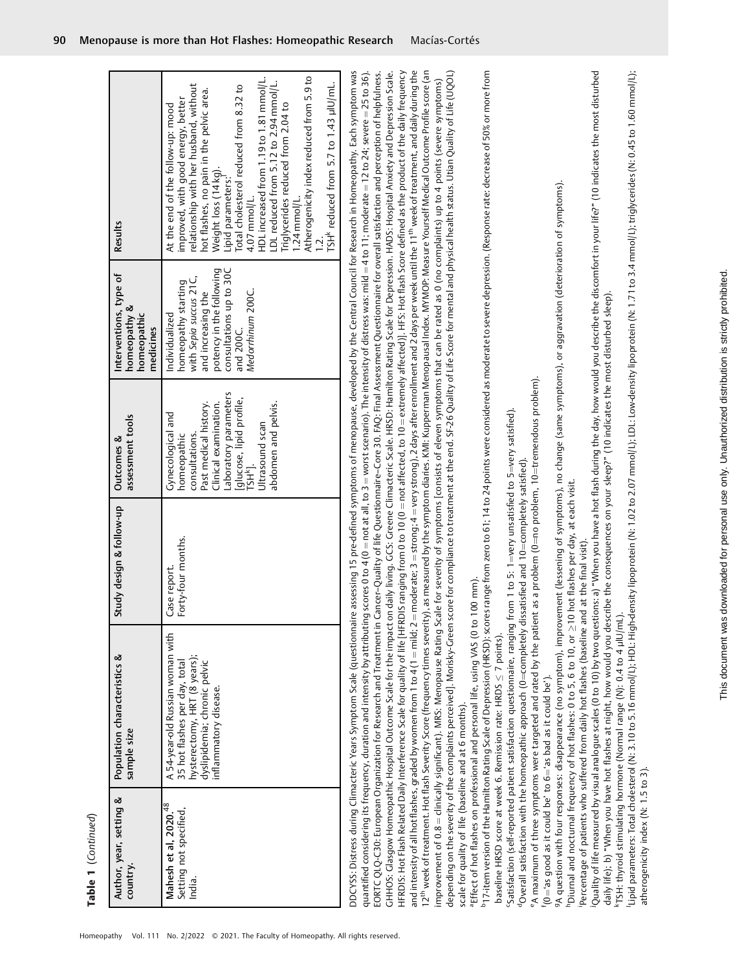| Author, year, setting &<br>country.                                   | Population characteristics &<br>sample size                                                                                                                                                                                                                | Study design & follow-up            | assessment tools<br>Outcomes &                                                                                                                                                                                             | Interventions, type of<br>homeopathy &<br>homeopathic<br>medicines                                                                                                             | Results                                                                                                                                                                                                                                                                                                                                                                                                                                                                                                                                                                                                                                                                                                                                                                                                                                                                                                                                                                                                                                                                                                                                                                                                                                               |
|-----------------------------------------------------------------------|------------------------------------------------------------------------------------------------------------------------------------------------------------------------------------------------------------------------------------------------------------|-------------------------------------|----------------------------------------------------------------------------------------------------------------------------------------------------------------------------------------------------------------------------|--------------------------------------------------------------------------------------------------------------------------------------------------------------------------------|-------------------------------------------------------------------------------------------------------------------------------------------------------------------------------------------------------------------------------------------------------------------------------------------------------------------------------------------------------------------------------------------------------------------------------------------------------------------------------------------------------------------------------------------------------------------------------------------------------------------------------------------------------------------------------------------------------------------------------------------------------------------------------------------------------------------------------------------------------------------------------------------------------------------------------------------------------------------------------------------------------------------------------------------------------------------------------------------------------------------------------------------------------------------------------------------------------------------------------------------------------|
| Mahesh et al, 2020. <sup>48</sup><br>Setting not specified,<br>India. | A 54-year-old Russian woman with<br>hysterectomy, HRT (8 years);<br>dyslipidemia; chronic pelvic<br>35 hot flashes per day, total<br>inflammatory disease.                                                                                                 | orty-four months.<br>Case report.   | Laboratory parameters<br>[glucose, lipid profile,<br>Clinical examination.<br>abdomen and pelvis.<br>Past medical history.<br>Gynecological and<br>Ultrasound scan<br>consultations.<br>homeopathic<br>TSH <sup>k</sup> ]. | potency in the following<br>consultations up to 30C<br>with Sepia succus 21C,<br>homeopathy starting<br>Medorrhinum 200C.<br>and increasing the<br>Individualized<br>and 200C. | Atherogenicity index reduced from 5.9 to<br>HDL increased from 1.19 to 1.81 mmol/L.<br>LDL reduced from 5.12 to 2.94 mmol/L.<br>TSH <sup>k</sup> reduced from 5.7 to 1.43 µlU/mL.<br>improved, with good energy, better<br>relationship with her husband, without<br>Total cholesterol reduced from 8.32 to<br>hot flashes, no pain in the pelvic area.<br>Triglycerides reduced from 2.04 to<br>At the end of the follow-up: mood<br>Weight loss (14 kg).<br>Lipid parameters:<br>4.07 mmol/L.<br>$1.24$ mmol/L.                                                                                                                                                                                                                                                                                                                                                                                                                                                                                                                                                                                                                                                                                                                                     |
|                                                                       |                                                                                                                                                                                                                                                            |                                     |                                                                                                                                                                                                                            |                                                                                                                                                                                |                                                                                                                                                                                                                                                                                                                                                                                                                                                                                                                                                                                                                                                                                                                                                                                                                                                                                                                                                                                                                                                                                                                                                                                                                                                       |
|                                                                       | quantified considering its frequency, duration and intensity by attributing                                                                                                                                                                                |                                     |                                                                                                                                                                                                                            |                                                                                                                                                                                | DDCYSS: Distress during Climacteric Years Symptom Scale (questionnaire assessing 15 pre-defined symptoms of menopause, developed by the Central Council for Research in Homeopathy. Each symptom was<br>EORTC QLQ-C30: European Organization for Research and Treatment in Cancer-Quality of life Questionnaire-Core 30. FAQ: Final Assessment Questionnaire for overall satisfaction and perception of helpfulness.<br>GHHOS: Clasgow Homeopathic Hospital Outcome Scale for the impact on daily living. GCS: Greene Climacteric Scale. HRSD: Hamilton Rating Scale for Depression. HADS: Hospital Anxiety and Depression Scale.<br>HFRDIS: Hot Flash Related Daily Interference Scale for quality of life [HFRDIS ranging from 0 to 10 (0 = not affected, to 10 = extremely affected)]. HFS: Hot flash Score defined as the product of the daily frequency<br>and intensity of all hot flashes, graded by women from 1 to 4 (1 = mild; 2 = moderate; 3 = strong; 4 = very strong), 2 days after enrollment and 2 days per week until the 11 <sup>th</sup> week of treatment, and daily during the<br>scores 0 to 4 (0 = not at all, to 3 = worst scenario). The intensity of distress was: mild = 4 to 11; moderate = 12 to 24; severe = 25 to 36). |
|                                                                       |                                                                                                                                                                                                                                                            |                                     |                                                                                                                                                                                                                            |                                                                                                                                                                                | 12 <sup>th</sup> week of treatment. Hot flash Severity Score (frequency times severity), as measured by the symptom diaries. KWI: Kupperman Menopausal Index. MYMOP: Measure Yourself Medical Outcome Profile score (an<br>improvement of 0.8 = clinically significant). MRS: Menopause Rating Scale for severity of symptoms [consists of eleven symptoms that can be rated as 0 (no complaints) up to 4 points (severe symptoms)                                                                                                                                                                                                                                                                                                                                                                                                                                                                                                                                                                                                                                                                                                                                                                                                                    |
| scale for quality of life (baseline and at 6 months).                 |                                                                                                                                                                                                                                                            |                                     |                                                                                                                                                                                                                            |                                                                                                                                                                                | depending on the severity of the complaints perceived]. Morisky-Green score for compliance to treatment at the end. SF-26 Quality of Life Score for mental and physical health status. Utian Quality of Life (UQOL)                                                                                                                                                                                                                                                                                                                                                                                                                                                                                                                                                                                                                                                                                                                                                                                                                                                                                                                                                                                                                                   |
|                                                                       | "Effect of hot flashes on professional and personal life, using VAS (0 to 100 mm).                                                                                                                                                                         |                                     |                                                                                                                                                                                                                            |                                                                                                                                                                                | "17-item version of the Hamilton Rating Scale of Depression (HRSD): scores range from zero to 61; 14 to 24 points were considered as moderate to severe depression. (Response rate: decrease of 50% or more from                                                                                                                                                                                                                                                                                                                                                                                                                                                                                                                                                                                                                                                                                                                                                                                                                                                                                                                                                                                                                                      |
|                                                                       | $\mathfrak s$ atisfaction (self-reported patient satisfaction questionnaire, ranging from 1 to 5: 1=very unsatisfied to 5=very satisfied).<br>baseline HRSD score at week 6. Remission rate: HRDS $\leq$ 7 points).                                        |                                     |                                                                                                                                                                                                                            |                                                                                                                                                                                |                                                                                                                                                                                                                                                                                                                                                                                                                                                                                                                                                                                                                                                                                                                                                                                                                                                                                                                                                                                                                                                                                                                                                                                                                                                       |
|                                                                       | e A maximum of three symptoms were targeted and rated by the patient as a problem (0=no problem, 10=tremendous problem).<br>$^4$ Overall satisfaction with the homeopathic approach (0=completely dissatisfied and 10=completely satisfied).               |                                     |                                                                                                                                                                                                                            |                                                                                                                                                                                |                                                                                                                                                                                                                                                                                                                                                                                                                                                                                                                                                                                                                                                                                                                                                                                                                                                                                                                                                                                                                                                                                                                                                                                                                                                       |
| $f(0) = 'as$ good as it could be' to $6 = 'as$ bad as it could be').  |                                                                                                                                                                                                                                                            |                                     |                                                                                                                                                                                                                            |                                                                                                                                                                                |                                                                                                                                                                                                                                                                                                                                                                                                                                                                                                                                                                                                                                                                                                                                                                                                                                                                                                                                                                                                                                                                                                                                                                                                                                                       |
|                                                                       | 9A question with four responses: disappearance (no symptom), improvement (lessening of symptoms), no change (same symptoms), or aggravation (deterioration of symptoms).<br>"Diurnal and nocturnal frequency of hot flashes: 0 to 5, 6 to 10, or $\geq$ 10 | hot flashes per day, at each visit. |                                                                                                                                                                                                                            |                                                                                                                                                                                |                                                                                                                                                                                                                                                                                                                                                                                                                                                                                                                                                                                                                                                                                                                                                                                                                                                                                                                                                                                                                                                                                                                                                                                                                                                       |
|                                                                       | Percentage of patients who suffered from daily hot flashes (baseline and at the final visit).                                                                                                                                                              |                                     |                                                                                                                                                                                                                            |                                                                                                                                                                                |                                                                                                                                                                                                                                                                                                                                                                                                                                                                                                                                                                                                                                                                                                                                                                                                                                                                                                                                                                                                                                                                                                                                                                                                                                                       |
|                                                                       | daily life); b) "When you have hot flashes at night, how would you describe the consequences on your sleep?" (10 indicates the most disturbed sleep).                                                                                                      |                                     |                                                                                                                                                                                                                            |                                                                                                                                                                                | Quality of life measured by visual analogue scales (0 to 10) by two questions: a) "When you have a hot flash during the day, how would you describe the discomfort in your life?" (10 indicates the most disturbed                                                                                                                                                                                                                                                                                                                                                                                                                                                                                                                                                                                                                                                                                                                                                                                                                                                                                                                                                                                                                                    |
|                                                                       |                                                                                                                                                                                                                                                            |                                     |                                                                                                                                                                                                                            |                                                                                                                                                                                | "TSH: thyroid stimulating hormone (Normal range (N): 0.4 to 4 µlU/mL).<br>Lipid parameters: Total cholesterol (N: 3.10 to 5.16 mmol/L); HDL: High-density lipoprotein (N: LD: Low-density lipoprotein (N: 1.71 to 3.4 mmol/L); tr                                                                                                                                                                                                                                                                                                                                                                                                                                                                                                                                                                                                                                                                                                                                                                                                                                                                                                                                                                                                                     |
|                                                                       |                                                                                                                                                                                                                                                            |                                     |                                                                                                                                                                                                                            |                                                                                                                                                                                |                                                                                                                                                                                                                                                                                                                                                                                                                                                                                                                                                                                                                                                                                                                                                                                                                                                                                                                                                                                                                                                                                                                                                                                                                                                       |

90 Menopause is more than Hot Flashes: Homeopathic Research Macías-Cortés

This document was downloaded for personal use only. Unauthorized distribution is strictly prohibited.

This document was downloaded for personal use only. Unauthorized distribution is strictly prohibited.

atherogenicity index (N: 1.5 to 3).

Homeopathy Vol. 111 No. 2/2022 © 2021. The Faculty of Homeopathy. All rights reserved.

Table 1 (Continued)

Table 1 (Continued)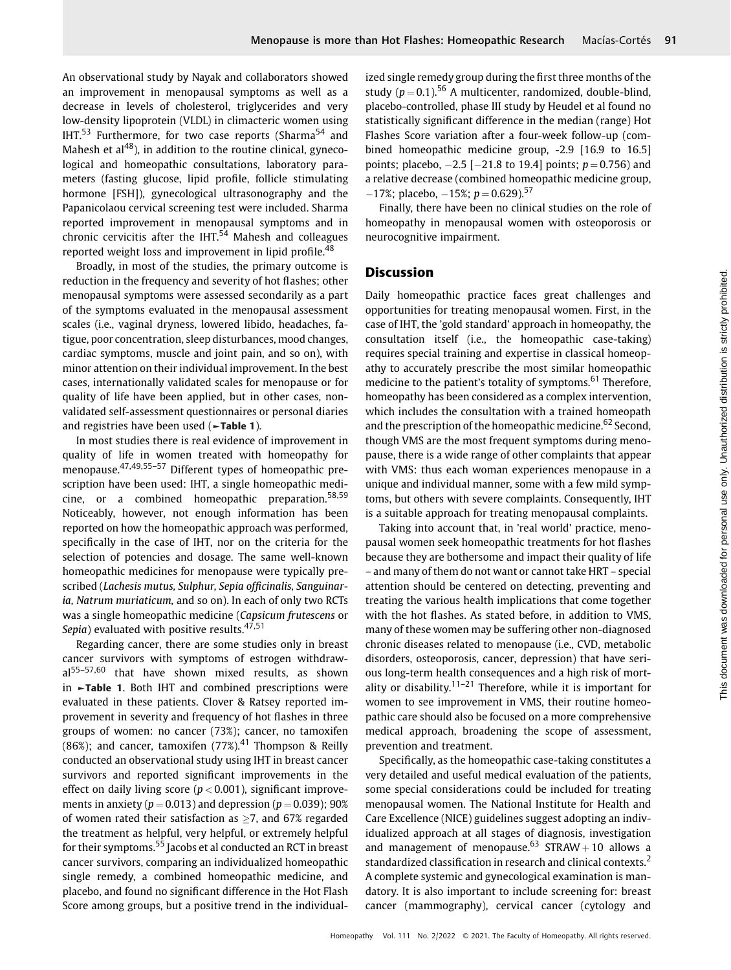An observational study by Nayak and collaborators showed an improvement in menopausal symptoms as well as a decrease in levels of cholesterol, triglycerides and very low-density lipoprotein (VLDL) in climacteric women using IHT. $53$  Furthermore, for two case reports (Sharma $54$  and Mahesh et  $al^{48}$ ), in addition to the routine clinical, gynecological and homeopathic consultations, laboratory parameters (fasting glucose, lipid profile, follicle stimulating hormone [FSH]), gynecological ultrasonography and the Papanicolaou cervical screening test were included. Sharma reported improvement in menopausal symptoms and in chronic cervicitis after the IHT. $54$  Mahesh and colleagues reported weight loss and improvement in lipid profile.<sup>48</sup>

Broadly, in most of the studies, the primary outcome is reduction in the frequency and severity of hot flashes; other menopausal symptoms were assessed secondarily as a part of the symptoms evaluated in the menopausal assessment scales (i.e., vaginal dryness, lowered libido, headaches, fatigue, poor concentration, sleep disturbances, mood changes, cardiac symptoms, muscle and joint pain, and so on), with minor attention on their individual improvement. In the best cases, internationally validated scales for menopause or for quality of life have been applied, but in other cases, nonvalidated self-assessment questionnaires or personal diaries and registries have been used (►Table 1).

In most studies there is real evidence of improvement in quality of life in women treated with homeopathy for menopause.47,49,55–<sup>57</sup> Different types of homeopathic prescription have been used: IHT, a single homeopathic medicine, or a combined homeopathic preparation.58,59 Noticeably, however, not enough information has been reported on how the homeopathic approach was performed, specifically in the case of IHT, nor on the criteria for the selection of potencies and dosage. The same well-known homeopathic medicines for menopause were typically prescribed (Lachesis mutus, Sulphur, Sepia officinalis, Sanguinaria, Natrum muriaticum, and so on). In each of only two RCTs was a single homeopathic medicine (Capsicum frutescens or Sepia) evaluated with positive results. $47,51$ 

Regarding cancer, there are some studies only in breast cancer survivors with symptoms of estrogen withdrawal<sup>55–57,60</sup> that have shown mixed results, as shown in ►Table 1. Both IHT and combined prescriptions were evaluated in these patients. Clover & Ratsey reported improvement in severity and frequency of hot flashes in three groups of women: no cancer (73%); cancer, no tamoxifen (86%); and cancer, tamoxifen  $(77%)$ ,  $^{41}$  Thompson & Reilly conducted an observational study using IHT in breast cancer survivors and reported significant improvements in the effect on daily living score ( $p < 0.001$ ), significant improvements in anxiety ( $p = 0.013$ ) and depression ( $p = 0.039$ ); 90% of women rated their satisfaction as  $>7$ , and 67% regarded the treatment as helpful, very helpful, or extremely helpful for their symptoms.<sup>55</sup> Jacobs et al conducted an RCT in breast cancer survivors, comparing an individualized homeopathic single remedy, a combined homeopathic medicine, and placebo, and found no significant difference in the Hot Flash Score among groups, but a positive trend in the individualized single remedy group during the first three months of the study ( $p = 0.1$ ).<sup>56</sup> A multicenter, randomized, double-blind, placebo-controlled, phase III study by Heudel et al found no statistically significant difference in the median (range) Hot Flashes Score variation after a four-week follow-up (combined homeopathic medicine group, -2.9 [16.9 to 16.5] points; placebo,  $-2.5$  [ $-21.8$  to 19.4] points;  $p = 0.756$ ) and a relative decrease (combined homeopathic medicine group,  $-17\%$ ; placebo,  $-15\%$ ;  $p = 0.629$ ).<sup>57</sup>

Finally, there have been no clinical studies on the role of homeopathy in menopausal women with osteoporosis or neurocognitive impairment.

## **Discussion**

Daily homeopathic practice faces great challenges and opportunities for treating menopausal women. First, in the case of IHT, the 'gold standard' approach in homeopathy, the consultation itself (i.e., the homeopathic case-taking) requires special training and expertise in classical homeopathy to accurately prescribe the most similar homeopathic medicine to the patient's totality of symptoms.<sup>61</sup> Therefore, homeopathy has been considered as a complex intervention, which includes the consultation with a trained homeopath and the prescription of the homeopathic medicine.<sup>62</sup> Second, though VMS are the most frequent symptoms during menopause, there is a wide range of other complaints that appear with VMS: thus each woman experiences menopause in a unique and individual manner, some with a few mild symptoms, but others with severe complaints. Consequently, IHT is a suitable approach for treating menopausal complaints.

Taking into account that, in 'real world' practice, menopausal women seek homeopathic treatments for hot flashes because they are bothersome and impact their quality of life – and many of them do not want or cannot take HRT – special attention should be centered on detecting, preventing and treating the various health implications that come together with the hot flashes. As stated before, in addition to VMS, many of these women may be suffering other non-diagnosed chronic diseases related to menopause (i.e., CVD, metabolic disorders, osteoporosis, cancer, depression) that have serious long-term health consequences and a high risk of mortality or disability.<sup>11–21</sup> Therefore, while it is important for women to see improvement in VMS, their routine homeopathic care should also be focused on a more comprehensive medical approach, broadening the scope of assessment, prevention and treatment.

Specifically, as the homeopathic case-taking constitutes a very detailed and useful medical evaluation of the patients, some special considerations could be included for treating menopausal women. The National Institute for Health and Care Excellence (NICE) guidelines suggest adopting an individualized approach at all stages of diagnosis, investigation and management of menopause.<sup>63</sup> STRAW + 10 allows a standardized classification in research and clinical contexts.<sup>2</sup> A complete systemic and gynecological examination is mandatory. It is also important to include screening for: breast cancer (mammography), cervical cancer (cytology and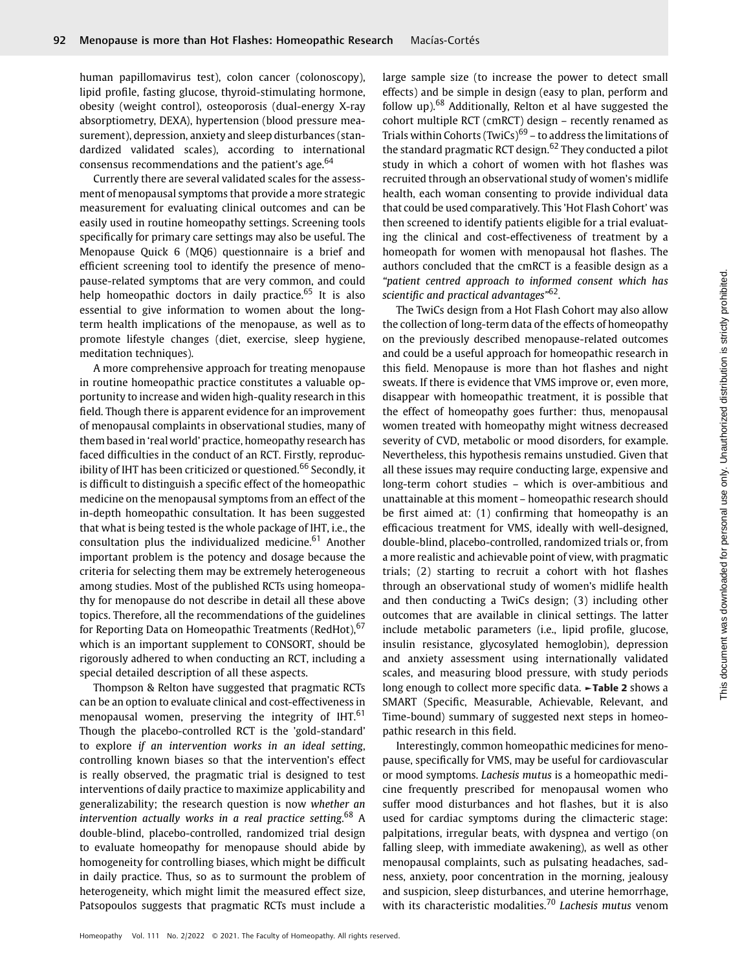human papillomavirus test), colon cancer (colonoscopy), lipid profile, fasting glucose, thyroid-stimulating hormone, obesity (weight control), osteoporosis (dual-energy X-ray absorptiometry, DEXA), hypertension (blood pressure measurement), depression, anxiety and sleep disturbances (standardized validated scales), according to international consensus recommendations and the patient's age.<sup>64</sup>

Currently there are several validated scales for the assessment of menopausal symptoms that provide a more strategic measurement for evaluating clinical outcomes and can be easily used in routine homeopathy settings. Screening tools specifically for primary care settings may also be useful. The Menopause Quick 6 (MQ6) questionnaire is a brief and efficient screening tool to identify the presence of menopause-related symptoms that are very common, and could help homeopathic doctors in daily practice.<sup>65</sup> It is also essential to give information to women about the longterm health implications of the menopause, as well as to promote lifestyle changes (diet, exercise, sleep hygiene, meditation techniques).

A more comprehensive approach for treating menopause in routine homeopathic practice constitutes a valuable opportunity to increase and widen high-quality research in this field. Though there is apparent evidence for an improvement of menopausal complaints in observational studies, many of them based in 'real world' practice, homeopathy research has faced difficulties in the conduct of an RCT. Firstly, reproducibility of IHT has been criticized or questioned.<sup>66</sup> Secondly, it is difficult to distinguish a specific effect of the homeopathic medicine on the menopausal symptoms from an effect of the in-depth homeopathic consultation. It has been suggested that what is being tested is the whole package of IHT, i.e., the consultation plus the individualized medicine.<sup>61</sup> Another important problem is the potency and dosage because the criteria for selecting them may be extremely heterogeneous among studies. Most of the published RCTs using homeopathy for menopause do not describe in detail all these above topics. Therefore, all the recommendations of the guidelines for Reporting Data on Homeopathic Treatments (RedHot), <sup>67</sup> which is an important supplement to CONSORT, should be rigorously adhered to when conducting an RCT, including a special detailed description of all these aspects.

Thompson & Relton have suggested that pragmatic RCTs can be an option to evaluate clinical and cost-effectiveness in menopausal women, preserving the integrity of  $IHT<sup>61</sup>$ Though the placebo-controlled RCT is the 'gold-standard' to explore if an intervention works in an ideal setting, controlling known biases so that the intervention's effect is really observed, the pragmatic trial is designed to test interventions of daily practice to maximize applicability and generalizability; the research question is now whether an intervention actually works in a real practice setting.<sup>68</sup> A double-blind, placebo-controlled, randomized trial design to evaluate homeopathy for menopause should abide by homogeneity for controlling biases, which might be difficult in daily practice. Thus, so as to surmount the problem of heterogeneity, which might limit the measured effect size, Patsopoulos suggests that pragmatic RCTs must include a

large sample size (to increase the power to detect small effects) and be simple in design (easy to plan, perform and follow up).<sup>68</sup> Additionally, Relton et al have suggested the cohort multiple RCT (cmRCT) design – recently renamed as Trials within Cohorts (TwiCs)<sup>69</sup> – to address the limitations of the standard pragmatic RCT design.<sup>62</sup> They conducted a pilot study in which a cohort of women with hot flashes was recruited through an observational study of women's midlife health, each woman consenting to provide individual data that could be used comparatively. This 'Hot Flash Cohort' was then screened to identify patients eligible for a trial evaluating the clinical and cost-effectiveness of treatment by a homeopath for women with menopausal hot flashes. The authors concluded that the cmRCT is a feasible design as a "patient centred approach to informed consent which has scientific and practical advantages"<sup>62</sup>.

The TwiCs design from a Hot Flash Cohort may also allow the collection of long-term data of the effects of homeopathy on the previously described menopause-related outcomes and could be a useful approach for homeopathic research in this field. Menopause is more than hot flashes and night sweats. If there is evidence that VMS improve or, even more, disappear with homeopathic treatment, it is possible that the effect of homeopathy goes further: thus, menopausal women treated with homeopathy might witness decreased severity of CVD, metabolic or mood disorders, for example. Nevertheless, this hypothesis remains unstudied. Given that all these issues may require conducting large, expensive and long-term cohort studies – which is over-ambitious and unattainable at this moment – homeopathic research should be first aimed at: (1) confirming that homeopathy is an efficacious treatment for VMS, ideally with well-designed, double-blind, placebo-controlled, randomized trials or, from a more realistic and achievable point of view, with pragmatic trials; (2) starting to recruit a cohort with hot flashes through an observational study of women's midlife health and then conducting a TwiCs design; (3) including other outcomes that are available in clinical settings. The latter include metabolic parameters (i.e., lipid profile, glucose, insulin resistance, glycosylated hemoglobin), depression and anxiety assessment using internationally validated scales, and measuring blood pressure, with study periods long enough to collect more specific data. ►Table 2 shows a SMART (Specific, Measurable, Achievable, Relevant, and Time-bound) summary of suggested next steps in homeopathic research in this field.

Interestingly, common homeopathic medicines for menopause, specifically for VMS, may be useful for cardiovascular or mood symptoms. Lachesis mutus is a homeopathic medicine frequently prescribed for menopausal women who suffer mood disturbances and hot flashes, but it is also used for cardiac symptoms during the climacteric stage: palpitations, irregular beats, with dyspnea and vertigo (on falling sleep, with immediate awakening), as well as other menopausal complaints, such as pulsating headaches, sadness, anxiety, poor concentration in the morning, jealousy and suspicion, sleep disturbances, and uterine hemorrhage, with its characteristic modalities.<sup>70</sup> Lachesis mutus venom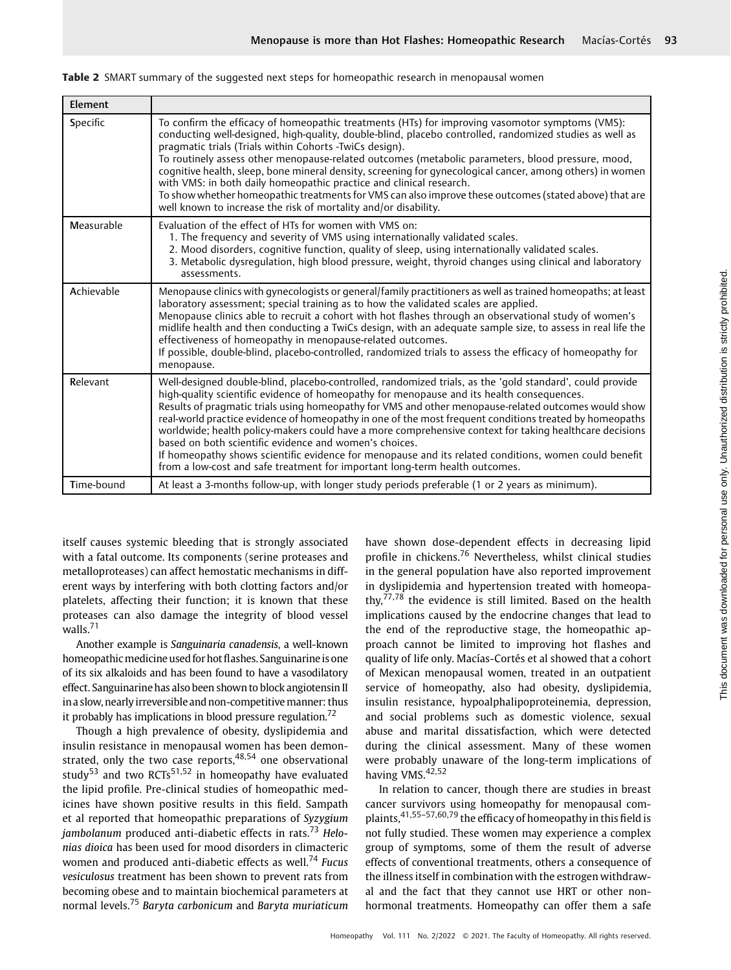| Element    |                                                                                                                                                                                                                                                                                                                                                                                                                                                                                                                                                                                                                                                                                                                                                                                       |
|------------|---------------------------------------------------------------------------------------------------------------------------------------------------------------------------------------------------------------------------------------------------------------------------------------------------------------------------------------------------------------------------------------------------------------------------------------------------------------------------------------------------------------------------------------------------------------------------------------------------------------------------------------------------------------------------------------------------------------------------------------------------------------------------------------|
| Specific   | To confirm the efficacy of homeopathic treatments (HTs) for improving vasomotor symptoms (VMS):<br>conducting well-designed, high-quality, double-blind, placebo controlled, randomized studies as well as<br>pragmatic trials (Trials within Cohorts -TwiCs design).<br>To routinely assess other menopause-related outcomes (metabolic parameters, blood pressure, mood,<br>cognitive health, sleep, bone mineral density, screening for gynecological cancer, among others) in women<br>with VMS: in both daily homeopathic practice and clinical research.<br>To show whether homeopathic treatments for VMS can also improve these outcomes (stated above) that are<br>well known to increase the risk of mortality and/or disability.                                           |
| Measurable | Evaluation of the effect of HTs for women with VMS on:<br>1. The frequency and severity of VMS using internationally validated scales.<br>2. Mood disorders, cognitive function, quality of sleep, using internationally validated scales.<br>3. Metabolic dysrequlation, high blood pressure, weight, thyroid changes using clinical and laboratory<br>assessments.                                                                                                                                                                                                                                                                                                                                                                                                                  |
| Achievable | Menopause clinics with gynecologists or general/family practitioners as well as trained homeopaths; at least<br>laboratory assessment; special training as to how the validated scales are applied.<br>Menopause clinics able to recruit a cohort with hot flashes through an observational study of women's<br>midlife health and then conducting a TwiCs design, with an adequate sample size, to assess in real life the<br>effectiveness of homeopathy in menopause-related outcomes.<br>If possible, double-blind, placebo-controlled, randomized trials to assess the efficacy of homeopathy for<br>menopause.                                                                                                                                                                  |
| Relevant   | Well-designed double-blind, placebo-controlled, randomized trials, as the 'gold standard', could provide<br>high-quality scientific evidence of homeopathy for menopause and its health consequences.<br>Results of pragmatic trials using homeopathy for VMS and other menopause-related outcomes would show<br>real-world practice evidence of homeopathy in one of the most frequent conditions treated by homeopaths<br>worldwide; health policy-makers could have a more comprehensive context for taking healthcare decisions<br>based on both scientific evidence and women's choices.<br>If homeopathy shows scientific evidence for menopause and its related conditions, women could benefit<br>from a low-cost and safe treatment for important long-term health outcomes. |
| Time-bound | At least a 3-months follow-up, with longer study periods preferable (1 or 2 years as minimum).                                                                                                                                                                                                                                                                                                                                                                                                                                                                                                                                                                                                                                                                                        |

**Table 2** SMART summary of the suggested next steps for homeopathic research in menopausal women

itself causes systemic bleeding that is strongly associated with a fatal outcome. Its components (serine proteases and metalloproteases) can affect hemostatic mechanisms in different ways by interfering with both clotting factors and/or platelets, affecting their function; it is known that these proteases can also damage the integrity of blood vessel walls.<sup>71</sup>

Another example is Sanguinaria canadensis, a well-known homeopathic medicine used for hot flashes. Sanguinarine is one of its six alkaloids and has been found to have a vasodilatory effect. Sanguinarine has also been shown to block angiotensin II in a slow, nearly irreversible and non-competitive manner: thus it probably has implications in blood pressure regulation.<sup>72</sup>

Though a high prevalence of obesity, dyslipidemia and insulin resistance in menopausal women has been demonstrated, only the two case reports,  $48,54$  one observational study<sup>53</sup> and two RCTs<sup>51,52</sup> in homeopathy have evaluated the lipid profile. Pre-clinical studies of homeopathic medicines have shown positive results in this field. Sampath et al reported that homeopathic preparations of Syzygium jambolanum produced anti-diabetic effects in rats.<sup>73</sup> Helonias dioica has been used for mood disorders in climacteric women and produced anti-diabetic effects as well.<sup>74</sup> Fucus vesiculosus treatment has been shown to prevent rats from becoming obese and to maintain biochemical parameters at normal levels.<sup>75</sup> Baryta carbonicum and Baryta muriaticum have shown dose-dependent effects in decreasing lipid profile in chickens.<sup>76</sup> Nevertheless, whilst clinical studies in the general population have also reported improvement in dyslipidemia and hypertension treated with homeopathy,<sup>77,78</sup> the evidence is still limited. Based on the health implications caused by the endocrine changes that lead to the end of the reproductive stage, the homeopathic approach cannot be limited to improving hot flashes and quality of life only. Macías-Cortés et al showed that a cohort of Mexican menopausal women, treated in an outpatient service of homeopathy, also had obesity, dyslipidemia, insulin resistance, hypoalphalipoproteinemia, depression, and social problems such as domestic violence, sexual abuse and marital dissatisfaction, which were detected during the clinical assessment. Many of these women were probably unaware of the long-term implications of having VMS.<sup>42,52</sup>

In relation to cancer, though there are studies in breast cancer survivors using homeopathy for menopausal complaints,41,55–57,60,79 the efficacy of homeopathy in this field is not fully studied. These women may experience a complex group of symptoms, some of them the result of adverse effects of conventional treatments, others a consequence of the illness itself in combination with the estrogen withdrawal and the fact that they cannot use HRT or other nonhormonal treatments. Homeopathy can offer them a safe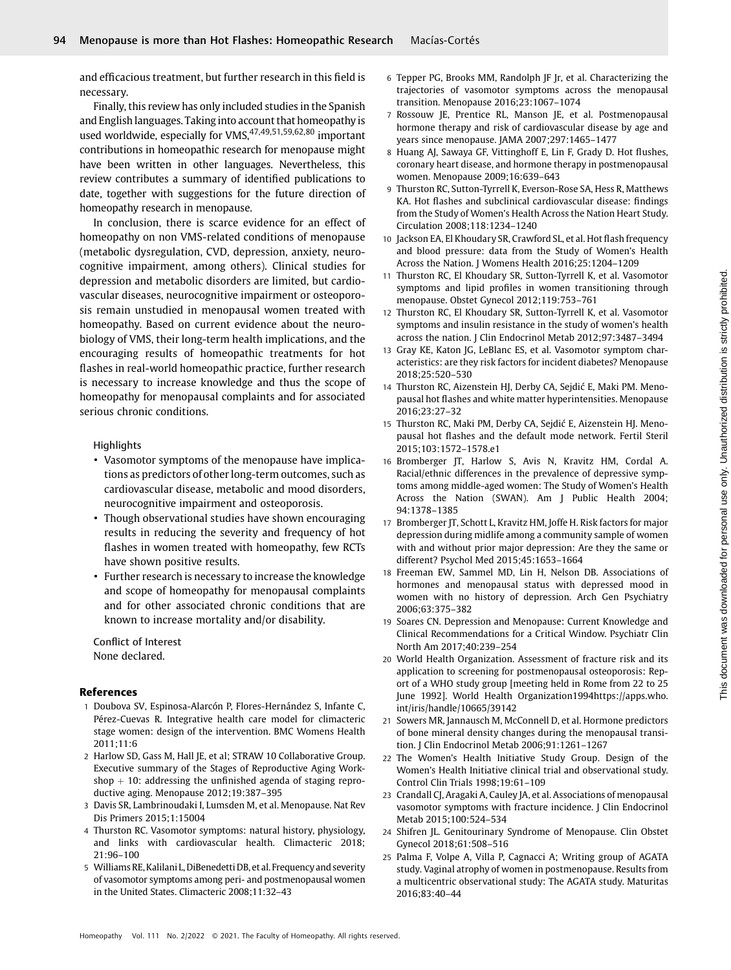and efficacious treatment, but further research in this field is necessary.

Finally, this review has only included studies in the Spanish and English languages. Taking into account that homeopathy is used worldwide, especially for VMS, 47, 49,51,59,62,80 important contributions in homeopathic research for menopause might have been written in other languages. Nevertheless, this review contributes a summary of identified publications to date, together with suggestions for the future direction of homeopathy research in menopause.

In conclusion, there is scarce evidence for an effect of homeopathy on non VMS-related conditions of menopause (metabolic dysregulation, CVD, depression, anxiety, neurocognitive impairment, among others). Clinical studies for depression and metabolic disorders are limited, but cardiovascular diseases, neurocognitive impairment or osteoporosis remain unstudied in menopausal women treated with homeopathy. Based on current evidence about the neurobiology of VMS, their long-term health implications, and the encouraging results of homeopathic treatments for hot flashes in real-world homeopathic practice, further research is necessary to increase knowledge and thus the scope of homeopathy for menopausal complaints and for associated serious chronic conditions.

### **Highlights**

- Vasomotor symptoms of the menopause have implications as predictors of other long-term outcomes, such as cardiovascular disease, metabolic and mood disorders, neurocognitive impairment and osteoporosis.
- Though observational studies have shown encouraging results in reducing the severity and frequency of hot flashes in women treated with homeopathy, few RCTs have shown positive results.
- Further research is necessary to increase the knowledge and scope of homeopathy for menopausal complaints and for other associated chronic conditions that are known to increase mortality and/or disability.

Conflict of Interest None declared.

#### References

- 1 Doubova SV, Espinosa-Alarcón P, Flores-Hernández S, Infante C, Pérez-Cuevas R. Integrative health care model for climacteric stage women: design of the intervention. BMC Womens Health 2011;11:6
- 2 Harlow SD, Gass M, Hall JE, et al; STRAW 10 Collaborative Group. Executive summary of the Stages of Reproductive Aging Workshop  $+$  10: addressing the unfinished agenda of staging reproductive aging. Menopause 2012;19:387–395
- 3 Davis SR, Lambrinoudaki I, Lumsden M, et al. Menopause. Nat Rev Dis Primers 2015;1:15004
- 4 Thurston RC. Vasomotor symptoms: natural history, physiology, and links with cardiovascular health. Climacteric 2018; 21:96–100
- 5 Williams RE, Kalilani L, DiBenedetti DB, et al. Frequency and severity of vasomotor symptoms among peri- and postmenopausal women in the United States. Climacteric 2008;11:32–43
- 6 Tepper PG, Brooks MM, Randolph JF Jr, et al. Characterizing the trajectories of vasomotor symptoms across the menopausal transition. Menopause 2016;23:1067–1074
- 7 Rossouw JE, Prentice RL, Manson JE, et al. Postmenopausal hormone therapy and risk of cardiovascular disease by age and years since menopause. JAMA 2007;297:1465–1477
- 8 Huang AJ, Sawaya GF, Vittinghoff E, Lin F, Grady D. Hot flushes, coronary heart disease, and hormone therapy in postmenopausal women. Menopause 2009;16:639–643
- 9 Thurston RC, Sutton-Tyrrell K, Everson-Rose SA, Hess R, Matthews KA. Hot flashes and subclinical cardiovascular disease: findings from the Study of Women's Health Across the Nation Heart Study. Circulation 2008;118:1234–1240
- 10 Jackson EA, El Khoudary SR, Crawford SL, et al. Hot flash frequency and blood pressure: data from the Study of Women's Health Across the Nation. J Womens Health 2016;25:1204–1209
- 11 Thurston RC, El Khoudary SR, Sutton-Tyrrell K, et al. Vasomotor symptoms and lipid profiles in women transitioning through menopause. Obstet Gynecol 2012;119:753–761
- 12 Thurston RC, El Khoudary SR, Sutton-Tyrrell K, et al. Vasomotor symptoms and insulin resistance in the study of women's health across the nation. J Clin Endocrinol Metab 2012;97:3487–3494
- 13 Gray KE, Katon JG, LeBlanc ES, et al. Vasomotor symptom characteristics: are they risk factors for incident diabetes? Menopause 2018;25:520–530
- 14 Thurston RC, Aizenstein HJ, Derby CA, Sejdić E, Maki PM. Menopausal hot flashes and white matter hyperintensities. Menopause 2016;23:27–32
- 15 Thurston RC, Maki PM, Derby CA, Sejdić E, Aizenstein HJ. Menopausal hot flashes and the default mode network. Fertil Steril 2015;103:1572–1578.e1
- 16 Bromberger JT, Harlow S, Avis N, Kravitz HM, Cordal A. Racial/ethnic differences in the prevalence of depressive symptoms among middle-aged women: The Study of Women's Health Across the Nation (SWAN). Am J Public Health 2004; 94:1378–1385
- 17 Bromberger JT, Schott L, Kravitz HM, Joffe H. Risk factors for major depression during midlife among a community sample of women with and without prior major depression: Are they the same or different? Psychol Med 2015;45:1653–1664
- 18 Freeman EW, Sammel MD, Lin H, Nelson DB. Associations of hormones and menopausal status with depressed mood in women with no history of depression. Arch Gen Psychiatry 2006;63:375–382
- 19 Soares CN. Depression and Menopause: Current Knowledge and Clinical Recommendations for a Critical Window. Psychiatr Clin North Am 2017;40:239–254
- 20 World Health Organization. Assessment of fracture risk and its application to screening for postmenopausal osteoporosis: Report of a WHO study group [meeting held in Rome from 22 to 25 June 1992]. World Health Organization1994[https://apps.who.](https://apps.who.int/iris/handle/10665/39142) [int/iris/handle/10665/39142](https://apps.who.int/iris/handle/10665/39142)
- 21 Sowers MR, Jannausch M, McConnell D, et al. Hormone predictors of bone mineral density changes during the menopausal transition. J Clin Endocrinol Metab 2006;91:1261–1267
- 22 The Women's Health Initiative Study Group. Design of the Women's Health Initiative clinical trial and observational study. Control Clin Trials 1998;19:61–109
- 23 Crandall CJ, Aragaki A, Cauley JA, et al. Associations of menopausal vasomotor symptoms with fracture incidence. J Clin Endocrinol Metab 2015;100:524–534
- 24 Shifren JL. Genitourinary Syndrome of Menopause. Clin Obstet Gynecol 2018;61:508–516
- 25 Palma F, Volpe A, Villa P, Cagnacci A; Writing group of AGATA study. Vaginal atrophy of women in postmenopause. Results from a multicentric observational study: The AGATA study. Maturitas 2016;83:40–44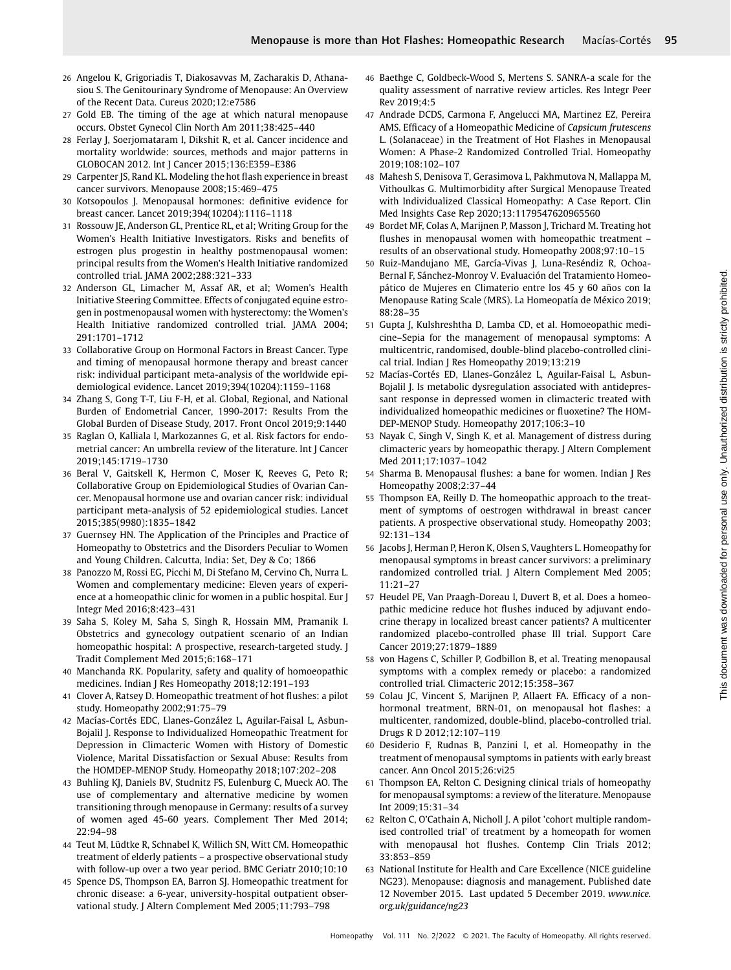- 26 Angelou K, Grigoriadis T, Diakosavvas M, Zacharakis D, Athanasiou S. The Genitourinary Syndrome of Menopause: An Overview of the Recent Data. Cureus 2020;12:e7586
- 27 Gold EB. The timing of the age at which natural menopause occurs. Obstet Gynecol Clin North Am 2011;38:425–440
- 28 Ferlay J, Soerjomataram I, Dikshit R, et al. Cancer incidence and mortality worldwide: sources, methods and major patterns in GLOBOCAN 2012. Int J Cancer 2015;136:E359–E386
- 29 Carpenter JS, Rand KL. Modeling the hot flash experience in breast cancer survivors. Menopause 2008;15:469–475
- 30 Kotsopoulos J. Menopausal hormones: definitive evidence for breast cancer. Lancet 2019;394(10204):1116–1118
- 31 Rossouw JE, Anderson GL, Prentice RL, et al; Writing Group for the Women's Health Initiative Investigators. Risks and benefits of estrogen plus progestin in healthy postmenopausal women: principal results from the Women's Health Initiative randomized controlled trial. JAMA 2002;288:321–333
- 32 Anderson GL, Limacher M, Assaf AR, et al; Women's Health Initiative Steering Committee. Effects of conjugated equine estrogen in postmenopausal women with hysterectomy: the Women's Health Initiative randomized controlled trial. JAMA 2004; 291:1701–1712
- 33 Collaborative Group on Hormonal Factors in Breast Cancer. Type and timing of menopausal hormone therapy and breast cancer risk: individual participant meta-analysis of the worldwide epidemiological evidence. Lancet 2019;394(10204):1159–1168
- 34 Zhang S, Gong T-T, Liu F-H, et al. Global, Regional, and National Burden of Endometrial Cancer, 1990-2017: Results From the Global Burden of Disease Study, 2017. Front Oncol 2019;9:1440
- 35 Raglan O, Kalliala I, Markozannes G, et al. Risk factors for endometrial cancer: An umbrella review of the literature. Int J Cancer 2019;145:1719–1730
- 36 Beral V, Gaitskell K, Hermon C, Moser K, Reeves G, Peto R; Collaborative Group on Epidemiological Studies of Ovarian Cancer. Menopausal hormone use and ovarian cancer risk: individual participant meta-analysis of 52 epidemiological studies. Lancet 2015;385(9980):1835–1842
- 37 Guernsey HN. The Application of the Principles and Practice of Homeopathy to Obstetrics and the Disorders Peculiar to Women and Young Children. Calcutta, India: Set, Dey & Co; 1866
- 38 Panozzo M, Rossi EG, Picchi M, Di Stefano M, Cervino Ch, Nurra L. Women and complementary medicine: Eleven years of experience at a homeopathic clinic for women in a public hospital. Eur J Integr Med 2016;8:423–431
- 39 Saha S, Koley M, Saha S, Singh R, Hossain MM, Pramanik I. Obstetrics and gynecology outpatient scenario of an Indian homeopathic hospital: A prospective, research-targeted study. J Tradit Complement Med 2015;6:168–171
- 40 Manchanda RK. Popularity, safety and quality of homoeopathic medicines. Indian J Res Homeopathy 2018;12:191–193
- 41 Clover A, Ratsey D. Homeopathic treatment of hot flushes: a pilot study. Homeopathy 2002;91:75–79
- 42 Macías-Cortés EDC, Llanes-González L, Aguilar-Faisal L, Asbun-Bojalil J. Response to Individualized Homeopathic Treatment for Depression in Climacteric Women with History of Domestic Violence, Marital Dissatisfaction or Sexual Abuse: Results from the HOMDEP-MENOP Study. Homeopathy 2018;107:202–208
- 43 Buhling KJ, Daniels BV, Studnitz FS, Eulenburg C, Mueck AO. The use of complementary and alternative medicine by women transitioning through menopause in Germany: results of a survey of women aged 45-60 years. Complement Ther Med 2014; 22:94–98
- 44 Teut M, Lüdtke R, Schnabel K, Willich SN, Witt CM. Homeopathic treatment of elderly patients – a prospective observational study with follow-up over a two year period. BMC Geriatr 2010;10:10
- 45 Spence DS, Thompson EA, Barron SJ. Homeopathic treatment for chronic disease: a 6-year, university-hospital outpatient observational study. J Altern Complement Med 2005;11:793–798
- 46 Baethge C, Goldbeck-Wood S, Mertens S. SANRA-a scale for the quality assessment of narrative review articles. Res Integr Peer Rev 2019;4:5
- 47 Andrade DCDS, Carmona F, Angelucci MA, Martinez EZ, Pereira AMS. Efficacy of a Homeopathic Medicine of Capsicum frutescens L. (Solanaceae) in the Treatment of Hot Flashes in Menopausal Women: A Phase-2 Randomized Controlled Trial. Homeopathy 2019;108:102–107
- 48 Mahesh S, Denisova T, Gerasimova L, Pakhmutova N, Mallappa M, Vithoulkas G. Multimorbidity after Surgical Menopause Treated with Individualized Classical Homeopathy: A Case Report. Clin Med Insights Case Rep 2020;13:1179547620965560
- 49 Bordet MF, Colas A, Marijnen P, Masson J, Trichard M. Treating hot flushes in menopausal women with homeopathic treatment – results of an observational study. Homeopathy 2008;97:10–15
- 50 Ruiz-Mandujano ME, García-Vivas J, Luna-Reséndiz R, Ochoa-Bernal F, Sánchez-Monroy V. Evaluación del Tratamiento Homeopático de Mujeres en Climaterio entre los 45 y 60 años con la Menopause Rating Scale (MRS). La Homeopatía de México 2019; 88:28–35
- 51 Gupta J, Kulshreshtha D, Lamba CD, et al. Homoeopathic medicine–Sepia for the management of menopausal symptoms: A multicentric, randomised, double-blind placebo-controlled clinical trial. Indian J Res Homeopathy 2019;13:219
- 52 Macías-Cortés ED, Llanes-González L, Aguilar-Faisal L, Asbun-Bojalil J. Is metabolic dysregulation associated with antidepressant response in depressed women in climacteric treated with individualized homeopathic medicines or fluoxetine? The HOM-DEP-MENOP Study. Homeopathy 2017;106:3–10
- 53 Nayak C, Singh V, Singh K, et al. Management of distress during climacteric years by homeopathic therapy. J Altern Complement Med 2011;17:1037–1042
- 54 Sharma B. Menopausal flushes: a bane for women. Indian J Res Homeopathy 2008;2:37–44
- 55 Thompson EA, Reilly D. The homeopathic approach to the treatment of symptoms of oestrogen withdrawal in breast cancer patients. A prospective observational study. Homeopathy 2003; 92:131–134
- 56 Jacobs J, Herman P, Heron K, Olsen S, Vaughters L. Homeopathy for menopausal symptoms in breast cancer survivors: a preliminary randomized controlled trial. J Altern Complement Med 2005; 11:21–27
- 57 Heudel PE, Van Praagh-Doreau I, Duvert B, et al. Does a homeopathic medicine reduce hot flushes induced by adjuvant endocrine therapy in localized breast cancer patients? A multicenter randomized placebo-controlled phase III trial. Support Care Cancer 2019;27:1879–1889
- 58 von Hagens C, Schiller P, Godbillon B, et al. Treating menopausal symptoms with a complex remedy or placebo: a randomized controlled trial. Climacteric 2012;15:358–367
- 59 Colau JC, Vincent S, Marijnen P, Allaert FA. Efficacy of a nonhormonal treatment, BRN-01, on menopausal hot flashes: a multicenter, randomized, double-blind, placebo-controlled trial. Drugs R D 2012;12:107–119
- 60 Desiderio F, Rudnas B, Panzini I, et al. Homeopathy in the treatment of menopausal symptoms in patients with early breast cancer. Ann Oncol 2015;26:vi25
- 61 Thompson EA, Relton C. Designing clinical trials of homeopathy for menopausal symptoms: a review of the literature. Menopause Int 2009;15:31–34
- 62 Relton C, O'Cathain A, Nicholl J. A pilot 'cohort multiple randomised controlled trial' of treatment by a homeopath for women with menopausal hot flushes. Contemp Clin Trials 2012; 33:853–859
- 63 National Institute for Health and Care Excellence (NICE guideline NG23). Menopause: diagnosis and management. Published date 12 November 2015. Last updated 5 December 2019. [www.nice.](http://www.nice.org.uk/guidance/ng23) [org.uk/guidance/ng23](http://www.nice.org.uk/guidance/ng23)